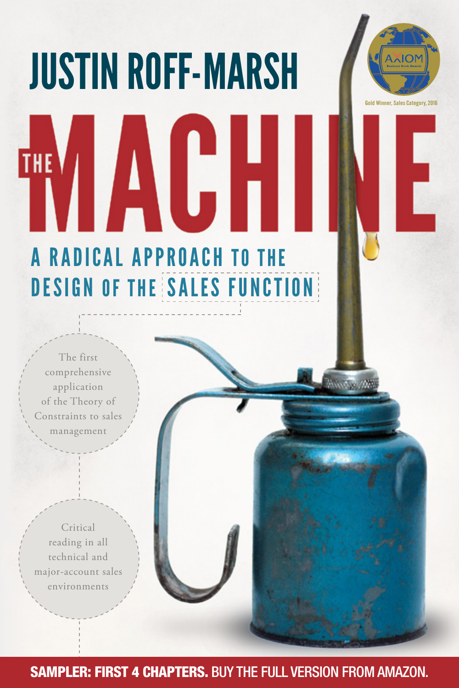# JUSTIN ROFF-MARSH

Gold Winner, Sales Category, 2016

Moody



The first comprehensive application of the Theory of Constraints to sales management

**THE** 

Critical reading in all technical and major-account sales environments

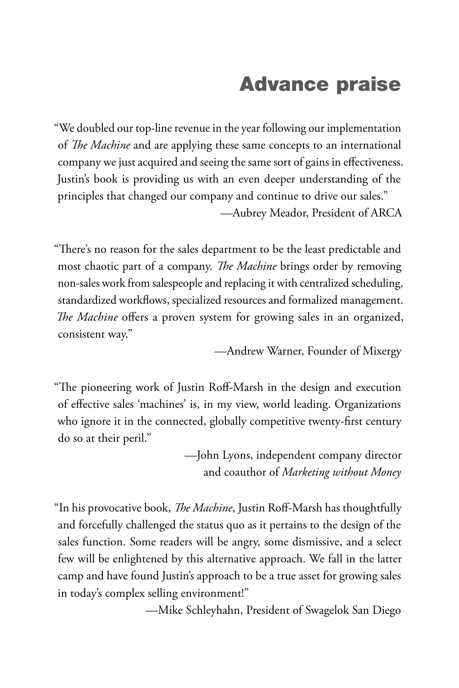## Advance praise

"We doubled our top-line revenue in the year following our implementation of *The Machine* and are applying these same concepts to an international company we just acquired and seeing the same sort of gains in effectiveness. Justin's book is providing us with an even deeper understanding of the principles that changed our company and continue to drive our sales." —Aubrey Meador, President of ARCA

"There's no reason for the sales department to be the least predictable and most chaotic part of a company. *The Machine* brings order by removing non-sales work from salespeople and replacing it with centralized scheduling, standardized workflows, specialized resources and formalized management. *The Machine* offers a proven system for growing sales in an organized, consistent way."

—Andrew Warner, Founder of Mixergy

"The pioneering work of Justin Roff-Marsh in the design and execution of effective sales 'machines' is, in my view, world leading. Organizations who ignore it in the connected, globally competitive twenty-first century do so at their peril."

> —John Lyons, independent company director and coauthor of *Marketing without Money*

"In his provocative book, *The Machine*, Justin Roff-Marsh has thoughtfully and forcefully challenged the status quo as it pertains to the design of the sales function. Some readers will be angry, some dismissive, and a select few will be enlightened by this alternative approach. We fall in the latter camp and have found Justin's approach to be a true asset for growing sales in today's complex selling environment!"

—Mike Schleyhahn, President of Swagelok San Diego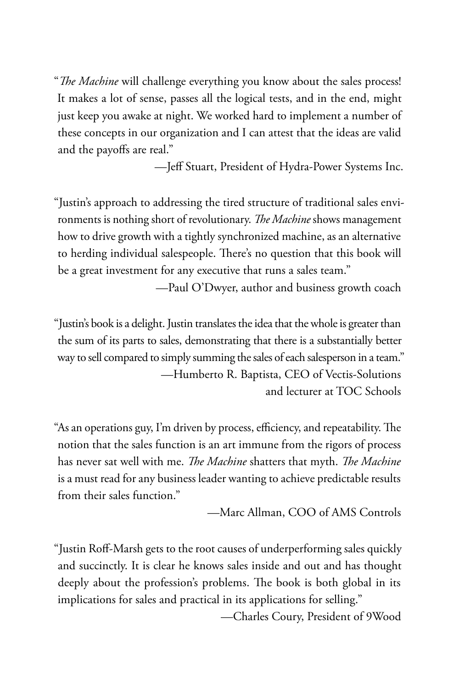"*The Machine* will challenge everything you know about the sales process! It makes a lot of sense, passes all the logical tests, and in the end, might just keep you awake at night. We worked hard to implement a number of these concepts in our organization and I can attest that the ideas are valid and the payoffs are real."

—Jeff Stuart, President of Hydra-Power Systems Inc.

"Justin's approach to addressing the tired structure of traditional sales environments is nothing short of revolutionary. *The Machine* shows management how to drive growth with a tightly synchronized machine, as an alternative to herding individual salespeople. There's no question that this book will be a great investment for any executive that runs a sales team."

—Paul O'Dwyer, author and business growth coach

"Justin's book is a delight. Justin translates the idea that the whole is greater than the sum of its parts to sales, demonstrating that there is a substantially better way to sell compared to simply summing the sales of each salesperson in a team." —Humberto R. Baptista, CEO of Vectis-Solutions and lecturer at TOC Schools

"As an operations guy, I'm driven by process, efficiency, and repeatability. The notion that the sales function is an art immune from the rigors of process has never sat well with me. *The Machine* shatters that myth. *The Machine*  is a must read for any business leader wanting to achieve predictable results from their sales function."

—Marc Allman, COO of AMS Controls

"Justin Roff-Marsh gets to the root causes of underperforming sales quickly and succinctly. It is clear he knows sales inside and out and has thought deeply about the profession's problems. The book is both global in its implications for sales and practical in its applications for selling."

—Charles Coury, President of 9Wood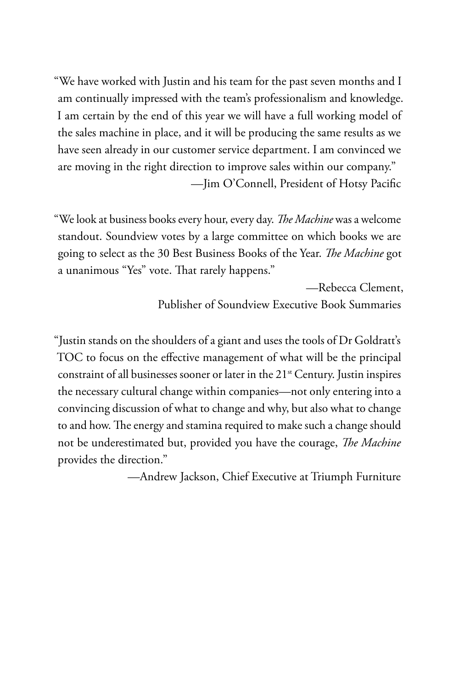"We have worked with Justin and his team for the past seven months and I am continually impressed with the team's professionalism and knowledge. I am certain by the end of this year we will have a full working model of the sales machine in place, and it will be producing the same results as we have seen already in our customer service department. I am convinced we are moving in the right direction to improve sales within our company." —Jim O'Connell, President of Hotsy Pacific

"We look at business books every hour, every day. *The Machine* was a welcome standout. Soundview votes by a large committee on which books we are going to select as the 30 Best Business Books of the Year. *The Machine* got a unanimous "Yes" vote. That rarely happens."

> —Rebecca Clement, Publisher of Soundview Executive Book Summaries

"Justin stands on the shoulders of a giant and uses the tools of Dr Goldratt's TOC to focus on the effective management of what will be the principal constraint of all businesses sooner or later in the 21<sup>st</sup> Century. Justin inspires the necessary cultural change within companies—not only entering into a convincing discussion of what to change and why, but also what to change to and how. The energy and stamina required to make such a change should not be underestimated but, provided you have the courage, *The Machine* provides the direction."

—Andrew Jackson, Chief Executive at Triumph Furniture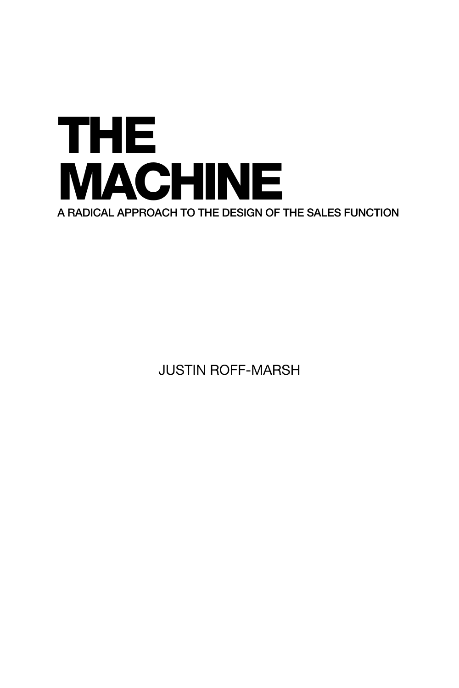

JUSTIN ROFF-MARSH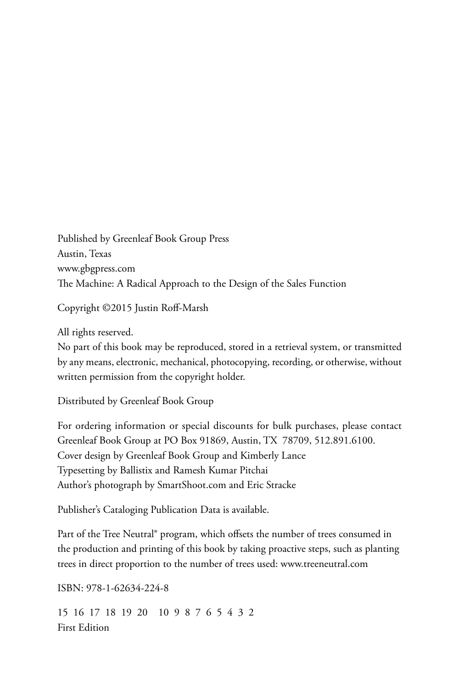Published by Greenleaf Book Group Press Austin, Texas www.gbgpress.com The Machine: A Radical Approach to the Design of the Sales Function

Copyright ©2015 Justin Roff-Marsh

All rights reserved.

No part of this book may be reproduced, stored in a retrieval system, or transmitted by any means, electronic, mechanical, photocopying, recording, or otherwise, without written permission from the copyright holder.

Distributed by Greenleaf Book Group

For ordering information or special discounts for bulk purchases, please contact Greenleaf Book Group at PO Box 91869, Austin, TX 78709, 512.891.6100. Cover design by Greenleaf Book Group and Kimberly Lance Typesetting by Ballistix and Ramesh Kumar Pitchai Author's photograph by SmartShoot.com and Eric Stracke

Publisher's Cataloging Publication Data is available.

Part of the Tree Neutral® program, which offsets the number of trees consumed in the production and printing of this book by taking proactive steps, such as planting trees in direct proportion to the number of trees used: www.treeneutral.com

ISBN: 978-1-62634-224-8

15 16 17 18 19 20 10 9 8 7 6 5 4 3 2 First Edition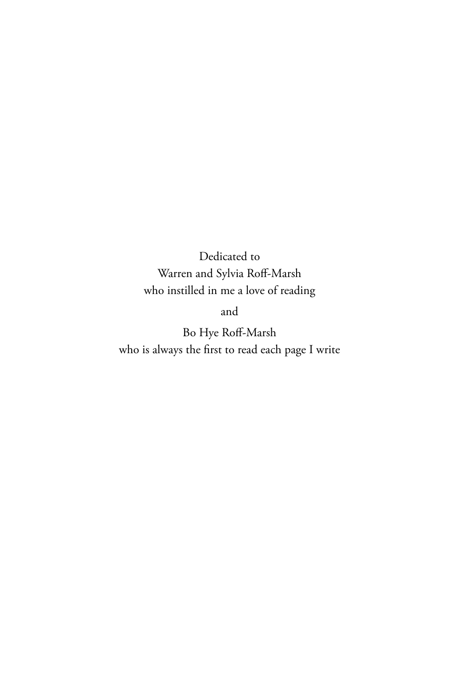Dedicated to Warren and Sylvia Roff-Marsh who instilled in me a love of reading

and

Bo Hye Roff-Marsh who is always the first to read each page I write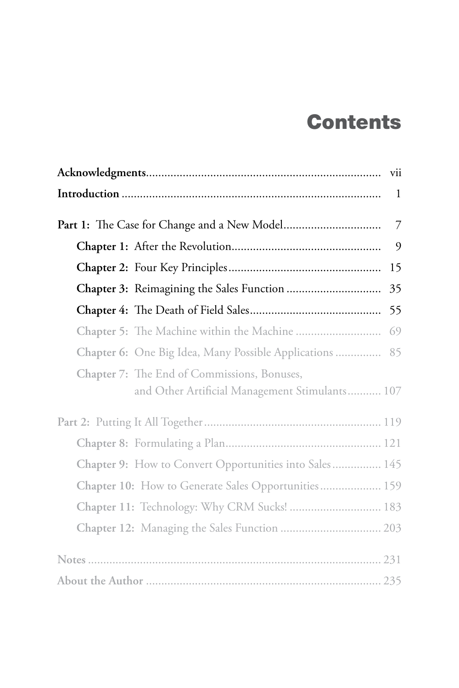## **Contents**

|                                                                                                      | <sup>1</sup>   |
|------------------------------------------------------------------------------------------------------|----------------|
|                                                                                                      | $\overline{7}$ |
|                                                                                                      | 9              |
|                                                                                                      | 15             |
|                                                                                                      | 35             |
|                                                                                                      | 55             |
|                                                                                                      | 69             |
| Chapter 6: One Big Idea, Many Possible Applications  85                                              |                |
| <b>Chapter 7:</b> The End of Commissions, Bonuses,<br>and Other Artificial Management Stimulants 107 |                |
|                                                                                                      |                |
|                                                                                                      |                |
| Chapter 9: How to Convert Opportunities into Sales 145                                               |                |
| Chapter 10: How to Generate Sales Opportunities 159                                                  |                |
| Chapter 11: Technology: Why CRM Sucks!  183                                                          |                |
|                                                                                                      |                |
|                                                                                                      |                |
|                                                                                                      |                |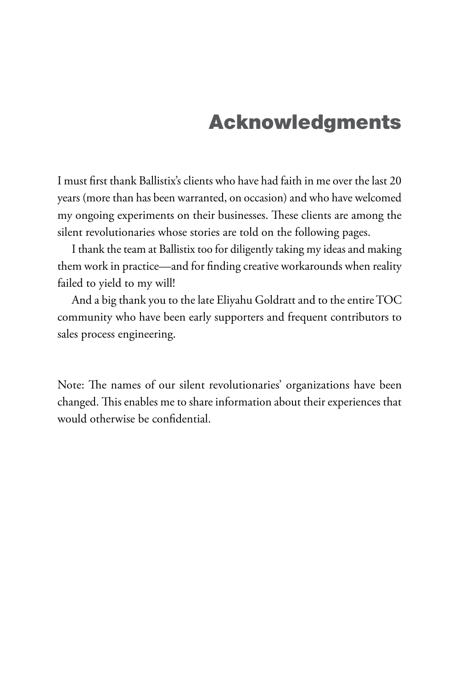## Acknowledgments

I must first thank Ballistix's clients who have had faith in me over the last 20 years (more than has been warranted, on occasion) and who have welcomed my ongoing experiments on their businesses. These clients are among the silent revolutionaries whose stories are told on the following pages.

I thank the team at Ballistix too for diligently taking my ideas and making them work in practice—and for finding creative workarounds when reality failed to yield to my will!

And a big thank you to the late Eliyahu Goldratt and to the entire TOC community who have been early supporters and frequent contributors to sales process engineering.

Note: The names of our silent revolutionaries' organizations have been changed. This enables me to share information about their experiences that would otherwise be confidential.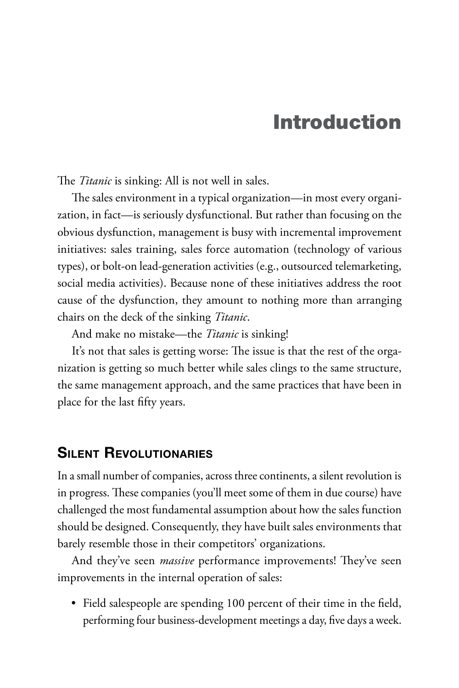## Introduction

The *Titanic* is sinking: All is not well in sales.

The sales environment in a typical organization—in most every organization, in fact—is seriously dysfunctional. But rather than focusing on the obvious dysfunction, management is busy with incremental improvement initiatives: sales training, sales force automation (technology of various types), or bolt-on lead-generation activities (e.g., outsourced telemarketing, social media activities). Because none of these initiatives address the root cause of the dysfunction, they amount to nothing more than arranging chairs on the deck of the sinking *Titanic*.

And make no mistake—the *Titanic* is sinking!

It's not that sales is getting worse: The issue is that the rest of the organization is getting so much better while sales clings to the same structure, the same management approach, and the same practices that have been in place for the last fifty years.

#### Silent Revolutionaries

In a small number of companies, across three continents, a silent revolution is in progress. These companies (you'll meet some of them in due course) have challenged the most fundamental assumption about how the sales function should be designed. Consequently, they have built sales environments that barely resemble those in their competitors' organizations.

And they've seen *massive* performance improvements! They've seen improvements in the internal operation of sales:

• Field salespeople are spending 100 percent of their time in the field, performing four business-development meetings a day, five days a week.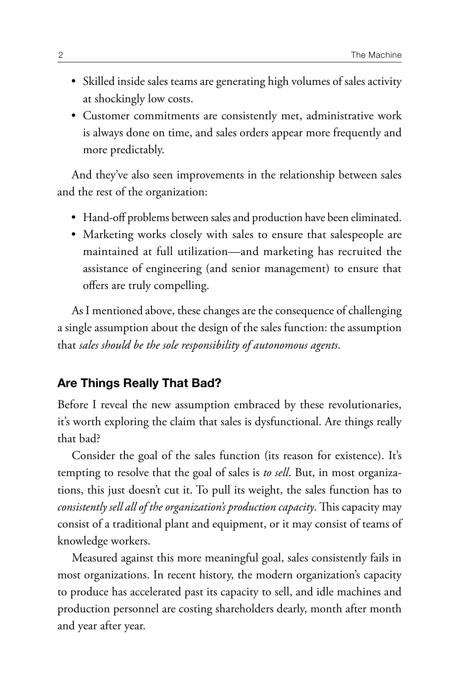- Skilled inside sales teams are generating high volumes of sales activity at shockingly low costs.
- Customer commitments are consistently met, administrative work is always done on time, and sales orders appear more frequently and more predictably.

And they've also seen improvements in the relationship between sales and the rest of the organization:

- Hand-off problems between sales and production have been eliminated.
- Marketing works closely with sales to ensure that salespeople are maintained at full utilization—and marketing has recruited the assistance of engineering (and senior management) to ensure that offers are truly compelling.

As I mentioned above, these changes are the consequence of challenging a single assumption about the design of the sales function: the assumption that *sales should be the sole responsibility of autonomous agents*.

#### Are Things Really That Bad?

Before I reveal the new assumption embraced by these revolutionaries, it's worth exploring the claim that sales is dysfunctional. Are things really that bad?

Consider the goal of the sales function (its reason for existence). It's tempting to resolve that the goal of sales is *to sell*. But, in most organizations, this just doesn't cut it. To pull its weight, the sales function has to *consistently sell all of the organization's production capacity*. This capacity may consist of a traditional plant and equipment, or it may consist of teams of knowledge workers.

Measured against this more meaningful goal, sales consistently fails in most organizations. In recent history, the modern organization's capacity to produce has accelerated past its capacity to sell, and idle machines and production personnel are costing shareholders dearly, month after month and year after year.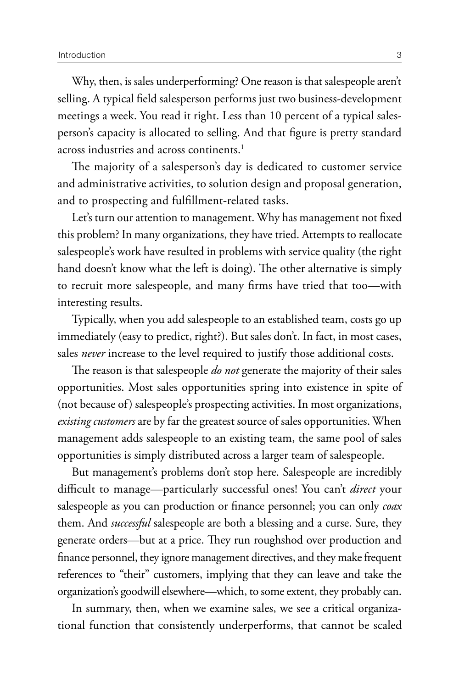Why, then, is sales underperforming? One reason is that salespeople aren't selling. A typical field salesperson performs just two business-development meetings a week. You read it right. Less than 10 percent of a typical salesperson's capacity is allocated to selling. And that figure is pretty standard across industries and across continents. $<sup>1</sup>$ </sup>

The majority of a salesperson's day is dedicated to customer service and administrative activities, to solution design and proposal generation, and to prospecting and fulfillment-related tasks.

Let's turn our attention to management. Why has management not fixed this problem? In many organizations, they have tried. Attempts to reallocate salespeople's work have resulted in problems with service quality (the right hand doesn't know what the left is doing). The other alternative is simply to recruit more salespeople, and many firms have tried that too—with interesting results.

Typically, when you add salespeople to an established team, costs go up immediately (easy to predict, right?). But sales don't. In fact, in most cases, sales *never* increase to the level required to justify those additional costs.

The reason is that salespeople *do not* generate the majority of their sales opportunities. Most sales opportunities spring into existence in spite of (not because of) salespeople's prospecting activities. In most organizations, *existing customers* are by far the greatest source of sales opportunities. When management adds salespeople to an existing team, the same pool of sales opportunities is simply distributed across a larger team of salespeople.

But management's problems don't stop here. Salespeople are incredibly difficult to manage—particularly successful ones! You can't *direct* your salespeople as you can production or finance personnel; you can only *coax* them. And *successful* salespeople are both a blessing and a curse. Sure, they generate orders—but at a price. They run roughshod over production and finance personnel, they ignore management directives, and they make frequent references to "their" customers, implying that they can leave and take the organization's goodwill elsewhere—which, to some extent, they probably can.

In summary, then, when we examine sales, we see a critical organizational function that consistently underperforms, that cannot be scaled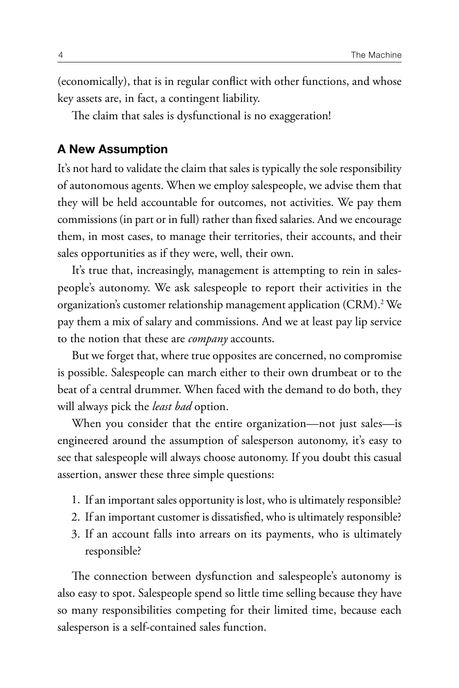(economically), that is in regular conflict with other functions, and whose key assets are, in fact, a contingent liability.

The claim that sales is dysfunctional is no exaggeration!

#### A New Assumption

It's not hard to validate the claim that sales is typically the sole responsibility of autonomous agents. When we employ salespeople, we advise them that they will be held accountable for outcomes, not activities. We pay them commissions (in part or in full) rather than fixed salaries. And we encourage them, in most cases, to manage their territories, their accounts, and their sales opportunities as if they were, well, their own.

It's true that, increasingly, management is attempting to rein in salespeople's autonomy. We ask salespeople to report their activities in the organization's customer relationship management application (CRM).2 We pay them a mix of salary and commissions. And we at least pay lip service to the notion that these are *company* accounts.

But we forget that, where true opposites are concerned, no compromise is possible. Salespeople can march either to their own drumbeat or to the beat of a central drummer. When faced with the demand to do both, they will always pick the *least bad* option.

When you consider that the entire organization—not just sales—is engineered around the assumption of salesperson autonomy, it's easy to see that salespeople will always choose autonomy. If you doubt this casual assertion, answer these three simple questions:

- 1. If an important sales opportunity is lost, who is ultimately responsible?
- 2. If an important customer is dissatisfied, who is ultimately responsible?
- 3. If an account falls into arrears on its payments, who is ultimately responsible?

The connection between dysfunction and salespeople's autonomy is also easy to spot. Salespeople spend so little time selling because they have so many responsibilities competing for their limited time, because each salesperson is a self-contained sales function.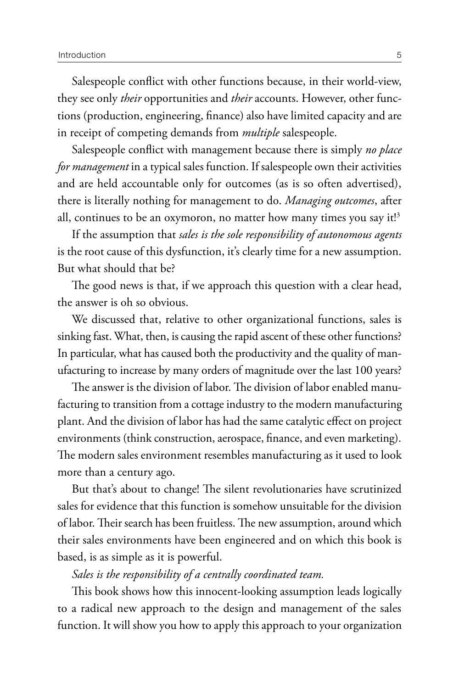Salespeople conflict with other functions because, in their world-view, they see only *their* opportunities and *their* accounts. However, other functions (production, engineering, finance) also have limited capacity and are in receipt of competing demands from *multiple* salespeople.

Salespeople conflict with management because there is simply *no place for management* in a typical sales function. If salespeople own their activities and are held accountable only for outcomes (as is so often advertised), there is literally nothing for management to do. *Managing outcomes*, after all, continues to be an oxymoron, no matter how many times you say it!<sup>3</sup>

If the assumption that *sales is the sole responsibility of autonomous agents* is the root cause of this dysfunction, it's clearly time for a new assumption. But what should that be?

The good news is that, if we approach this question with a clear head, the answer is oh so obvious.

We discussed that, relative to other organizational functions, sales is sinking fast. What, then, is causing the rapid ascent of these other functions? In particular, what has caused both the productivity and the quality of manufacturing to increase by many orders of magnitude over the last 100 years?

The answer is the division of labor. The division of labor enabled manufacturing to transition from a cottage industry to the modern manufacturing plant. And the division of labor has had the same catalytic effect on project environments (think construction, aerospace, finance, and even marketing). The modern sales environment resembles manufacturing as it used to look more than a century ago.

But that's about to change! The silent revolutionaries have scrutinized sales for evidence that this function is somehow unsuitable for the division of labor. Their search has been fruitless. The new assumption, around which their sales environments have been engineered and on which this book is based, is as simple as it is powerful.

#### *Sales is the responsibility of a centrally coordinated team.*

This book shows how this innocent-looking assumption leads logically to a radical new approach to the design and management of the sales function. It will show you how to apply this approach to your organization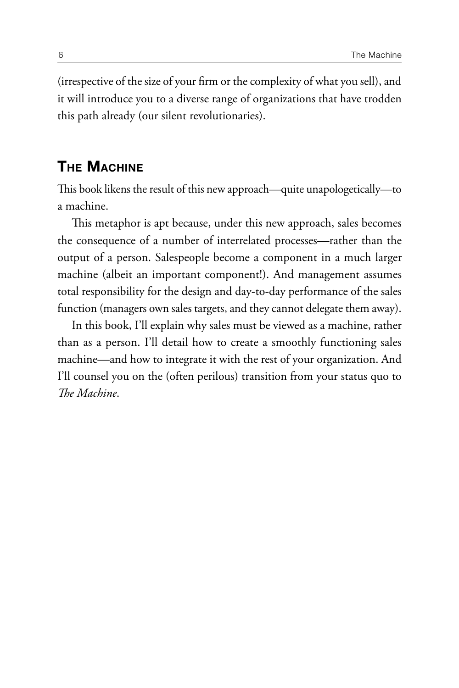(irrespective of the size of your firm or the complexity of what you sell), and it will introduce you to a diverse range of organizations that have trodden this path already (our silent revolutionaries).

#### The Machine

This book likens the result of this new approach—quite unapologetically—to a machine.

This metaphor is apt because, under this new approach, sales becomes the consequence of a number of interrelated processes—rather than the output of a person. Salespeople become a component in a much larger machine (albeit an important component!). And management assumes total responsibility for the design and day-to-day performance of the sales function (managers own sales targets, and they cannot delegate them away).

In this book, I'll explain why sales must be viewed as a machine, rather than as a person. I'll detail how to create a smoothly functioning sales machine—and how to integrate it with the rest of your organization. And I'll counsel you on the (often perilous) transition from your status quo to *The Machine*.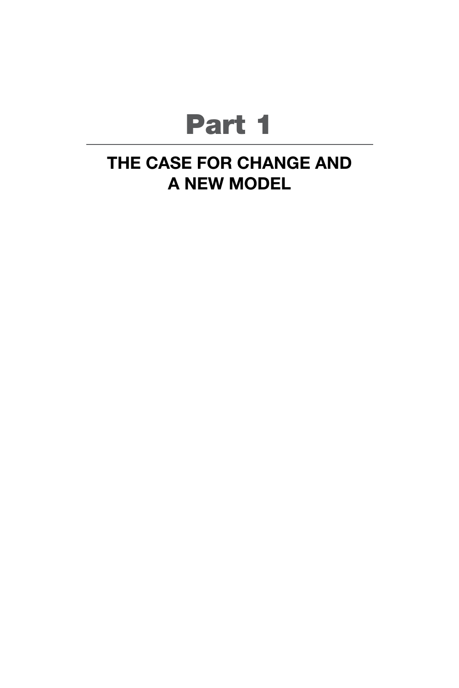# Part 1

## THE CASE FOR CHANGE AND A NEW MODEL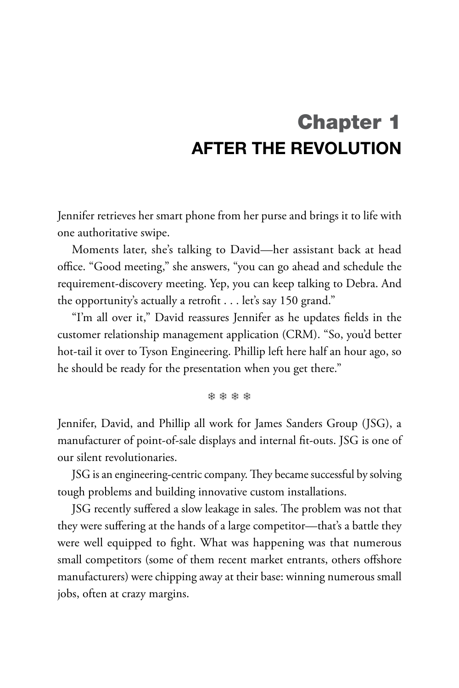## Chapter 1 AFTER THE REVOLUTION

Jennifer retrieves her smart phone from her purse and brings it to life with one authoritative swipe.

Moments later, she's talking to David—her assistant back at head office. "Good meeting," she answers, "you can go ahead and schedule the requirement-discovery meeting. Yep, you can keep talking to Debra. And the opportunity's actually a retrofit . . . let's say 150 grand."

"I'm all over it," David reassures Jennifer as he updates fields in the customer relationship management application (CRM). "So, you'd better hot-tail it over to Tyson Engineering. Phillip left here half an hour ago, so he should be ready for the presentation when you get there."

❄ ❄ ❄ ❄

Jennifer, David, and Phillip all work for James Sanders Group (JSG), a manufacturer of point-of-sale displays and internal fit-outs. JSG is one of our silent revolutionaries.

JSG is an engineering-centric company. They became successful by solving tough problems and building innovative custom installations.

JSG recently suffered a slow leakage in sales. The problem was not that they were suffering at the hands of a large competitor—that's a battle they were well equipped to fight. What was happening was that numerous small competitors (some of them recent market entrants, others offshore manufacturers) were chipping away at their base: winning numerous small jobs, often at crazy margins.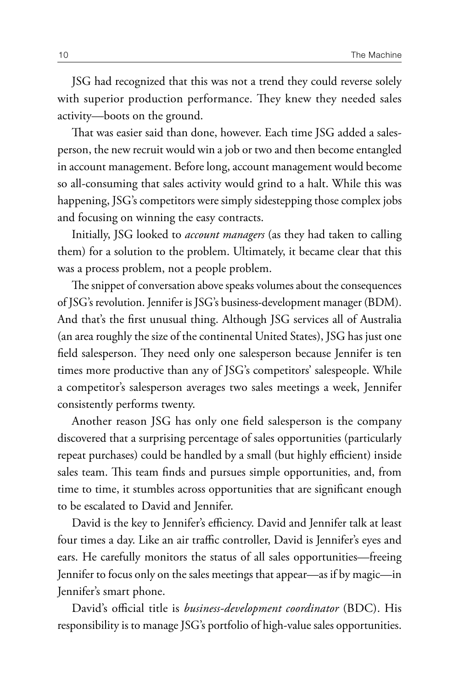JSG had recognized that this was not a trend they could reverse solely with superior production performance. They knew they needed sales activity—boots on the ground.

That was easier said than done, however. Each time JSG added a salesperson, the new recruit would win a job or two and then become entangled in account management. Before long, account management would become so all-consuming that sales activity would grind to a halt. While this was happening, JSG's competitors were simply sidestepping those complex jobs and focusing on winning the easy contracts.

Initially, JSG looked to *account managers* (as they had taken to calling them) for a solution to the problem. Ultimately, it became clear that this was a process problem, not a people problem.

The snippet of conversation above speaks volumes about the consequences of JSG's revolution. Jennifer is JSG's business-development manager (BDM). And that's the first unusual thing. Although JSG services all of Australia (an area roughly the size of the continental United States), JSG has just one field salesperson. They need only one salesperson because Jennifer is ten times more productive than any of JSG's competitors' salespeople. While a competitor's salesperson averages two sales meetings a week, Jennifer consistently performs twenty.

Another reason JSG has only one field salesperson is the company discovered that a surprising percentage of sales opportunities (particularly repeat purchases) could be handled by a small (but highly efficient) inside sales team. This team finds and pursues simple opportunities, and, from time to time, it stumbles across opportunities that are significant enough to be escalated to David and Jennifer.

David is the key to Jennifer's efficiency. David and Jennifer talk at least four times a day. Like an air traffic controller, David is Jennifer's eyes and ears. He carefully monitors the status of all sales opportunities—freeing Jennifer to focus only on the sales meetings that appear—as if by magic—in Jennifer's smart phone.

David's official title is *business-development coordinator* (BDC). His responsibility is to manage JSG's portfolio of high-value sales opportunities.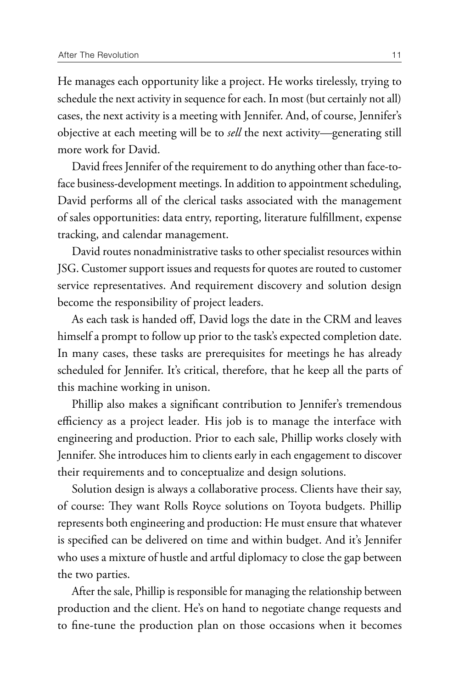He manages each opportunity like a project. He works tirelessly, trying to schedule the next activity in sequence for each. In most (but certainly not all) cases, the next activity is a meeting with Jennifer. And, of course, Jennifer's objective at each meeting will be to *sell* the next activity—generating still more work for David.

David frees Jennifer of the requirement to do anything other than face-toface business-development meetings. In addition to appointment scheduling, David performs all of the clerical tasks associated with the management of sales opportunities: data entry, reporting, literature fulfillment, expense tracking, and calendar management.

David routes nonadministrative tasks to other specialist resources within JSG. Customer support issues and requests for quotes are routed to customer service representatives. And requirement discovery and solution design become the responsibility of project leaders.

As each task is handed off, David logs the date in the CRM and leaves himself a prompt to follow up prior to the task's expected completion date. In many cases, these tasks are prerequisites for meetings he has already scheduled for Jennifer. It's critical, therefore, that he keep all the parts of this machine working in unison.

Phillip also makes a significant contribution to Jennifer's tremendous efficiency as a project leader*.* His job is to manage the interface with engineering and production. Prior to each sale, Phillip works closely with Jennifer. She introduces him to clients early in each engagement to discover their requirements and to conceptualize and design solutions.

Solution design is always a collaborative process. Clients have their say, of course: They want Rolls Royce solutions on Toyota budgets. Phillip represents both engineering and production: He must ensure that whatever is specified can be delivered on time and within budget. And it's Jennifer who uses a mixture of hustle and artful diplomacy to close the gap between the two parties.

After the sale, Phillip is responsible for managing the relationship between production and the client. He's on hand to negotiate change requests and to fine-tune the production plan on those occasions when it becomes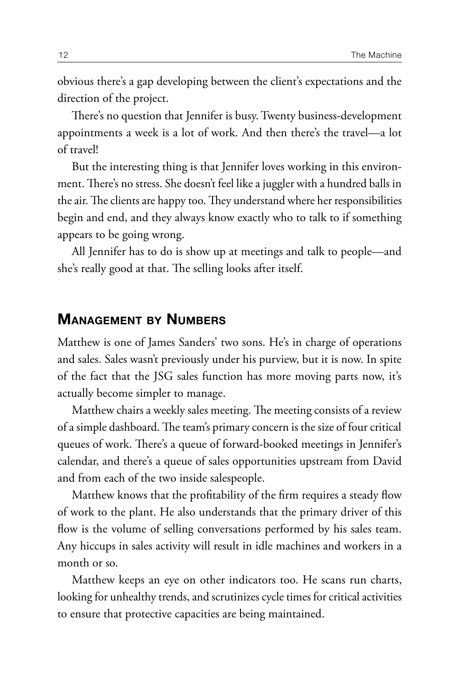obvious there's a gap developing between the client's expectations and the direction of the project.

There's no question that Jennifer is busy. Twenty business-development appointments a week is a lot of work. And then there's the travel—a lot of travel!

But the interesting thing is that Jennifer loves working in this environment. There's no stress. She doesn't feel like a juggler with a hundred balls in the air. The clients are happy too. They understand where her responsibilities begin and end, and they always know exactly who to talk to if something appears to be going wrong.

All Jennifer has to do is show up at meetings and talk to people—and she's really good at that. The selling looks after itself.

#### Management by Numbers

Matthew is one of James Sanders' two sons. He's in charge of operations and sales. Sales wasn't previously under his purview, but it is now. In spite of the fact that the JSG sales function has more moving parts now, it's actually become simpler to manage.

Matthew chairs a weekly sales meeting. The meeting consists of a review of a simple dashboard. The team's primary concern is the size of four critical queues of work. There's a queue of forward-booked meetings in Jennifer's calendar, and there's a queue of sales opportunities upstream from David and from each of the two inside salespeople.

Matthew knows that the profitability of the firm requires a steady flow of work to the plant. He also understands that the primary driver of this flow is the volume of selling conversations performed by his sales team. Any hiccups in sales activity will result in idle machines and workers in a month or so.

Matthew keeps an eye on other indicators too. He scans run charts, looking for unhealthy trends, and scrutinizes cycle times for critical activities to ensure that protective capacities are being maintained.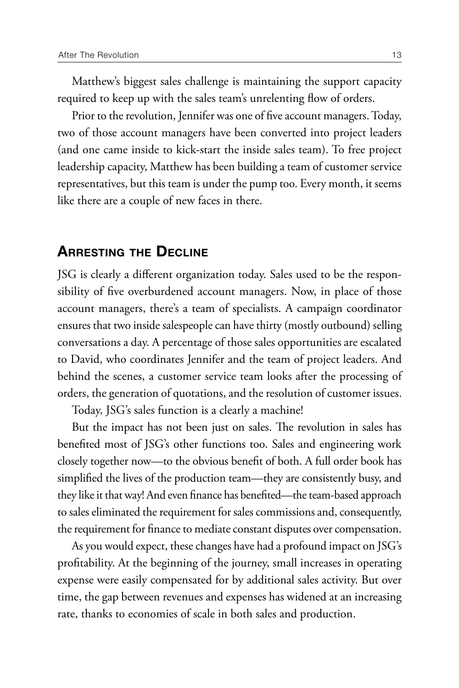Matthew's biggest sales challenge is maintaining the support capacity required to keep up with the sales team's unrelenting flow of orders.

Prior to the revolution, Jennifer was one of five account managers. Today, two of those account managers have been converted into project leaders (and one came inside to kick-start the inside sales team). To free project leadership capacity, Matthew has been building a team of customer service representatives, but this team is under the pump too. Every month, it seems like there are a couple of new faces in there.

#### Arresting the Decline

JSG is clearly a different organization today. Sales used to be the responsibility of five overburdened account managers. Now, in place of those account managers, there's a team of specialists. A campaign coordinator ensures that two inside salespeople can have thirty (mostly outbound) selling conversations a day. A percentage of those sales opportunities are escalated to David, who coordinates Jennifer and the team of project leaders. And behind the scenes, a customer service team looks after the processing of orders, the generation of quotations, and the resolution of customer issues.

Today, JSG's sales function is a clearly a machine!

But the impact has not been just on sales. The revolution in sales has benefited most of JSG's other functions too. Sales and engineering work closely together now—to the obvious benefit of both. A full order book has simplified the lives of the production team—they are consistently busy, and they like it that way! And even finance has benefited—the team-based approach to sales eliminated the requirement for sales commissions and, consequently, the requirement for finance to mediate constant disputes over compensation.

As you would expect, these changes have had a profound impact on JSG's profitability. At the beginning of the journey, small increases in operating expense were easily compensated for by additional sales activity. But over time, the gap between revenues and expenses has widened at an increasing rate, thanks to economies of scale in both sales and production.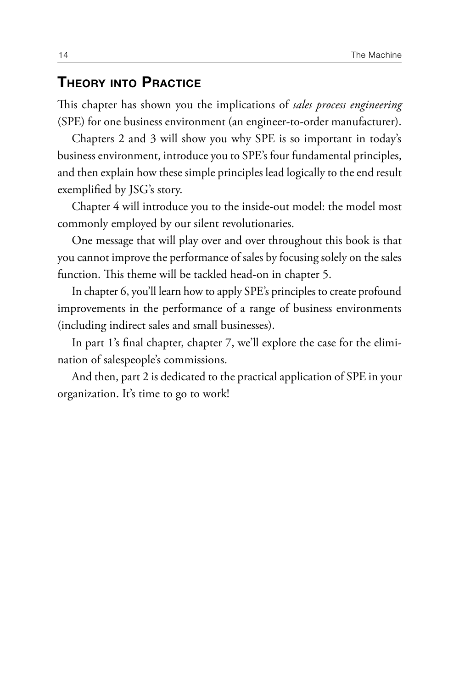#### Theory into Practice

This chapter has shown you the implications of *sales process engineering* (SPE) for one business environment (an engineer-to-order manufacturer).

Chapters 2 and 3 will show you why SPE is so important in today's business environment, introduce you to SPE's four fundamental principles, and then explain how these simple principles lead logically to the end result exemplified by JSG's story.

Chapter 4 will introduce you to the inside-out model: the model most commonly employed by our silent revolutionaries.

One message that will play over and over throughout this book is that you cannot improve the performance of sales by focusing solely on the sales function. This theme will be tackled head-on in chapter 5.

In chapter 6, you'll learn how to apply SPE's principles to create profound improvements in the performance of a range of business environments (including indirect sales and small businesses).

In part 1's final chapter, chapter 7, we'll explore the case for the elimination of salespeople's commissions.

And then, part 2 is dedicated to the practical application of SPE in your organization. It's time to go to work!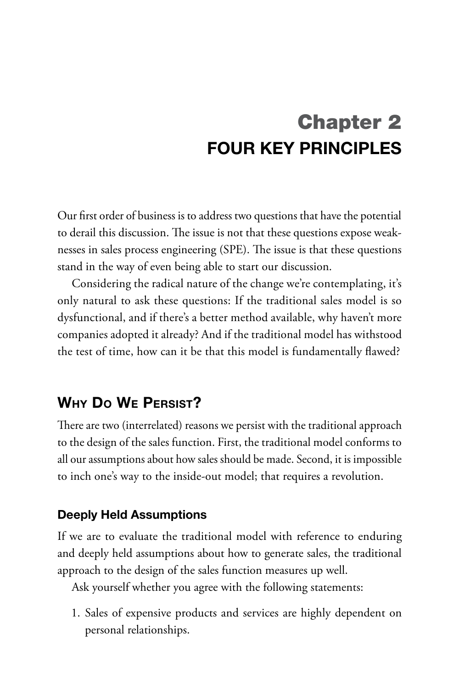## Chapter 2 FOUR KEY PRINCIPLES

Our first order of business is to address two questions that have the potential to derail this discussion. The issue is not that these questions expose weaknesses in sales process engineering (SPE). The issue is that these questions stand in the way of even being able to start our discussion.

Considering the radical nature of the change we're contemplating, it's only natural to ask these questions: If the traditional sales model is so dysfunctional, and if there's a better method available, why haven't more companies adopted it already? And if the traditional model has withstood the test of time, how can it be that this model is fundamentally flawed?

#### Why Do We Persist?

There are two (interrelated) reasons we persist with the traditional approach to the design of the sales function. First, the traditional model conforms to all our assumptions about how sales should be made. Second, it is impossible to inch one's way to the inside-out model; that requires a revolution.

#### Deeply Held Assumptions

If we are to evaluate the traditional model with reference to enduring and deeply held assumptions about how to generate sales, the traditional approach to the design of the sales function measures up well.

Ask yourself whether you agree with the following statements:

1. Sales of expensive products and services are highly dependent on personal relationships.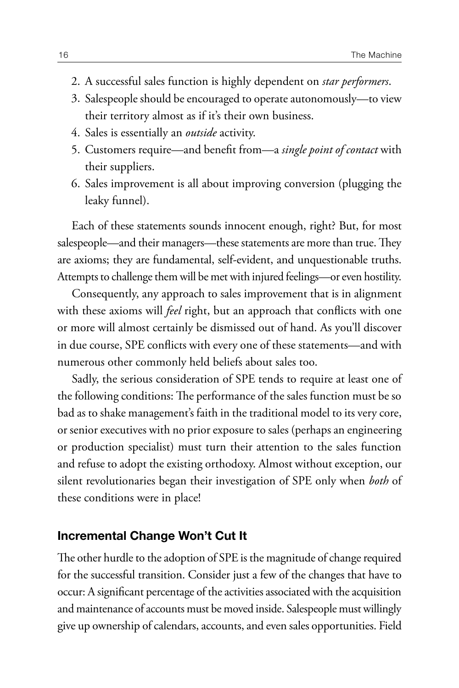- 2. A successful sales function is highly dependent on *star performers*.
- 3. Salespeople should be encouraged to operate autonomously—to view their territory almost as if it's their own business.
- 4. Sales is essentially an *outside* activity.
- 5. Customers require—and benefit from—a *single point of contact* with their suppliers.
- 6. Sales improvement is all about improving conversion (plugging the leaky funnel).

Each of these statements sounds innocent enough, right? But, for most salespeople—and their managers—these statements are more than true. They are axioms; they are fundamental, self-evident, and unquestionable truths. Attempts to challenge them will be met with injured feelings—or even hostility.

Consequently, any approach to sales improvement that is in alignment with these axioms will *feel* right, but an approach that conflicts with one or more will almost certainly be dismissed out of hand. As you'll discover in due course, SPE conflicts with every one of these statements—and with numerous other commonly held beliefs about sales too.

Sadly, the serious consideration of SPE tends to require at least one of the following conditions: The performance of the sales function must be so bad as to shake management's faith in the traditional model to its very core, or senior executives with no prior exposure to sales (perhaps an engineering or production specialist) must turn their attention to the sales function and refuse to adopt the existing orthodoxy. Almost without exception, our silent revolutionaries began their investigation of SPE only when *both* of these conditions were in place!

#### Incremental Change Won't Cut It

The other hurdle to the adoption of SPE is the magnitude of change required for the successful transition. Consider just a few of the changes that have to occur: A significant percentage of the activities associated with the acquisition and maintenance of accounts must be moved inside. Salespeople must willingly give up ownership of calendars, accounts, and even sales opportunities. Field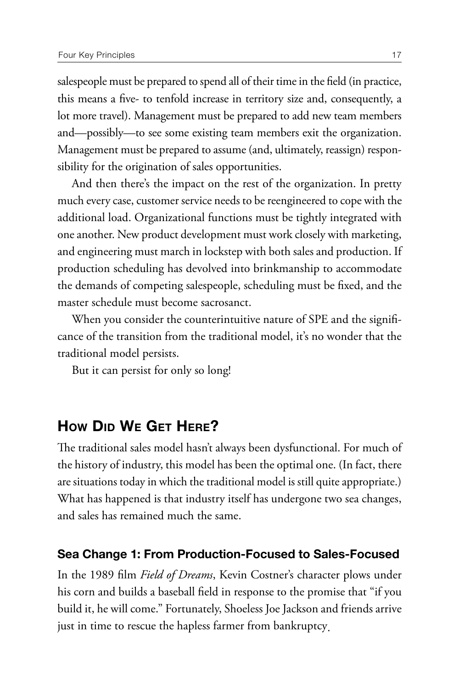salespeople must be prepared to spend all of their time in the field (in practice, this means a five- to tenfold increase in territory size and, consequently, a lot more travel). Management must be prepared to add new team members and—possibly—to see some existing team members exit the organization. Management must be prepared to assume (and, ultimately, reassign) responsibility for the origination of sales opportunities.

And then there's the impact on the rest of the organization. In pretty much every case, customer service needs to be reengineered to cope with the additional load. Organizational functions must be tightly integrated with one another. New product development must work closely with marketing, and engineering must march in lockstep with both sales and production. If production scheduling has devolved into brinkmanship to accommodate the demands of competing salespeople, scheduling must be fixed, and the master schedule must become sacrosanct.

When you consider the counterintuitive nature of SPE and the significance of the transition from the traditional model, it's no wonder that the traditional model persists.

But it can persist for only so long!

#### How D<sub>ID</sub> WE GET HERE?

The traditional sales model hasn't always been dysfunctional. For much of the history of industry, this model has been the optimal one. (In fact, there are situations today in which the traditional model is still quite appropriate.) What has happened is that industry itself has undergone two sea changes, and sales has remained much the same.

#### Sea Change 1: From Production-Focused to Sales-Focused

In the 1989 film *Field of Dreams*, Kevin Costner's character plows under his corn and builds a baseball field in response to the promise that "if you build it, he will come." Fortunately, Shoeless Joe Jackson and friends arrive just in time to rescue the hapless farmer from bankruptcy.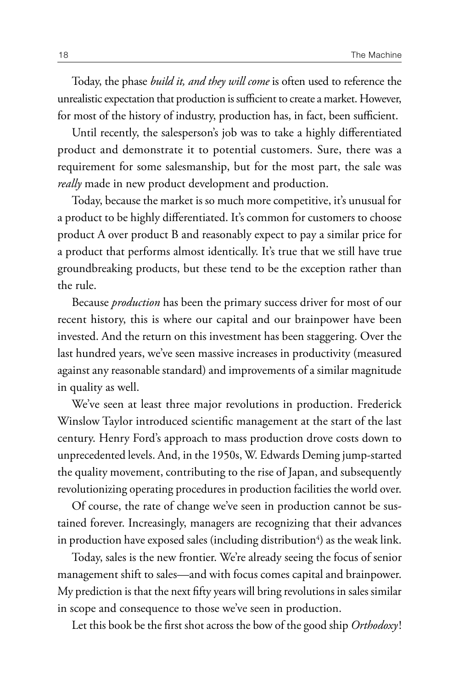Today, the phase *build it, and they will come* is often used to reference the unrealistic expectation that production is sufficient to create a market. However, for most of the history of industry, production has, in fact, been sufficient.

Until recently, the salesperson's job was to take a highly differentiated product and demonstrate it to potential customers. Sure, there was a requirement for some salesmanship, but for the most part, the sale was *really* made in new product development and production.

Today, because the market is so much more competitive, it's unusual for a product to be highly differentiated. It's common for customers to choose product A over product B and reasonably expect to pay a similar price for a product that performs almost identically. It's true that we still have true groundbreaking products, but these tend to be the exception rather than the rule.

Because *production* has been the primary success driver for most of our recent history, this is where our capital and our brainpower have been invested. And the return on this investment has been staggering. Over the last hundred years, we've seen massive increases in productivity (measured against any reasonable standard) and improvements of a similar magnitude in quality as well.

We've seen at least three major revolutions in production. Frederick Winslow Taylor introduced scientific management at the start of the last century. Henry Ford's approach to mass production drove costs down to unprecedented levels. And, in the 1950s, W. Edwards Deming jump-started the quality movement, contributing to the rise of Japan, and subsequently revolutionizing operating procedures in production facilities the world over.

Of course, the rate of change we've seen in production cannot be sustained forever. Increasingly, managers are recognizing that their advances in production have exposed sales (including distribution $^4$ ) as the weak link.

Today, sales is the new frontier. We're already seeing the focus of senior management shift to sales—and with focus comes capital and brainpower. My prediction is that the next fifty years will bring revolutions in sales similar in scope and consequence to those we've seen in production.

Let this book be the first shot across the bow of the good ship *Orthodoxy*!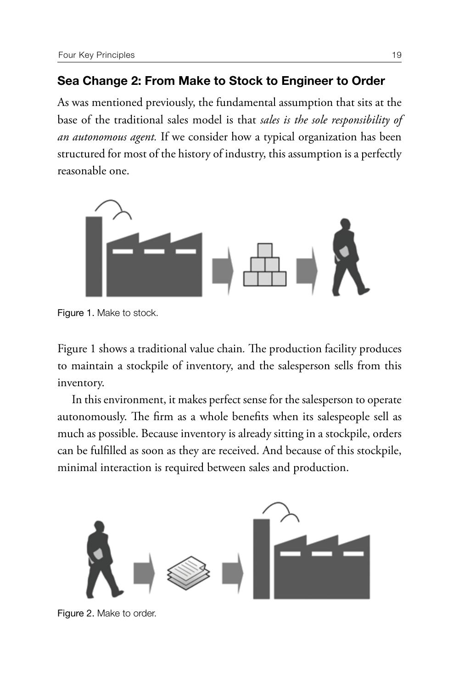#### Sea Change 2: From Make to Stock to Engineer to Order

As was mentioned previously, the fundamental assumption that sits at the base of the traditional sales model is that *sales is the sole responsibility of an autonomous agent.* If we consider how a typical organization has been structured for most of the history of industry, this assumption is a perfectly reasonable one.



Figure 1. Make to stock.

Figure 1 shows a traditional value chain*.* The production facility produces to maintain a stockpile of inventory, and the salesperson sells from this inventory.

In this environment, it makes perfect sense for the salesperson to operate autonomously. The firm as a whole benefits when its salespeople sell as much as possible. Because inventory is already sitting in a stockpile, orders can be fulfilled as soon as they are received. And because of this stockpile, minimal interaction is required between sales and production.



Figure 2. Make to order.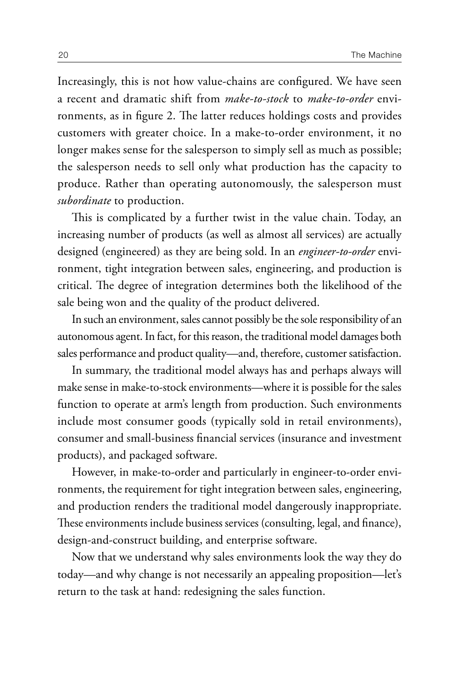Increasingly, this is not how value-chains are configured. We have seen a recent and dramatic shift from *make-to-stock* to *make-to-order* environments, as in figure 2. The latter reduces holdings costs and provides customers with greater choice. In a make-to-order environment, it no longer makes sense for the salesperson to simply sell as much as possible; the salesperson needs to sell only what production has the capacity to produce. Rather than operating autonomously, the salesperson must *subordinate* to production.

This is complicated by a further twist in the value chain. Today, an increasing number of products (as well as almost all services) are actually designed (engineered) as they are being sold. In an *engineer-to-order* environment, tight integration between sales, engineering, and production is critical. The degree of integration determines both the likelihood of the sale being won and the quality of the product delivered.

In such an environment, sales cannot possibly be the sole responsibility of an autonomous agent. In fact, for this reason, the traditional model damages both sales performance and product quality—and, therefore, customer satisfaction.

In summary, the traditional model always has and perhaps always will make sense in make-to-stock environments—where it is possible for the sales function to operate at arm's length from production. Such environments include most consumer goods (typically sold in retail environments), consumer and small-business financial services (insurance and investment products), and packaged software.

However, in make-to-order and particularly in engineer-to-order environments, the requirement for tight integration between sales, engineering, and production renders the traditional model dangerously inappropriate. These environments include business services (consulting, legal, and finance), design-and-construct building, and enterprise software.

Now that we understand why sales environments look the way they do today—and why change is not necessarily an appealing proposition—let's return to the task at hand: redesigning the sales function.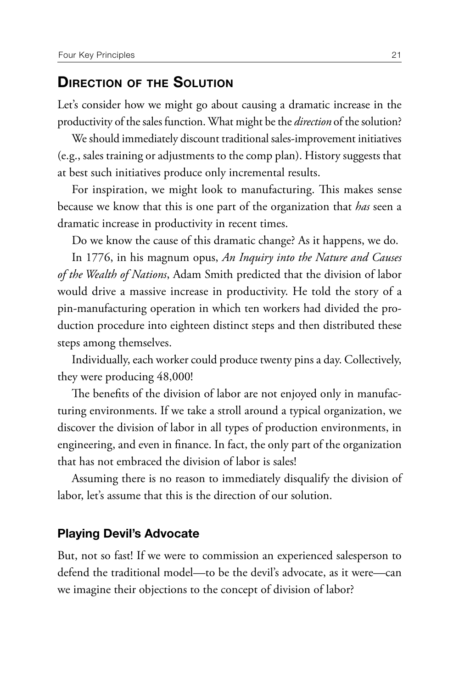#### Direction of the Solution

Let's consider how we might go about causing a dramatic increase in the productivity of the sales function. What might be the *direction* of the solution?

We should immediately discount traditional sales-improvement initiatives (e.g., sales training or adjustments to the comp plan). History suggests that at best such initiatives produce only incremental results.

For inspiration, we might look to manufacturing. This makes sense because we know that this is one part of the organization that *has* seen a dramatic increase in productivity in recent times.

Do we know the cause of this dramatic change? As it happens, we do.

In 1776, in his magnum opus, *An Inquiry into the Nature and Causes of the Wealth of Nations*, Adam Smith predicted that the division of labor would drive a massive increase in productivity. He told the story of a pin-manufacturing operation in which ten workers had divided the production procedure into eighteen distinct steps and then distributed these steps among themselves.

Individually, each worker could produce twenty pins a day. Collectively, they were producing 48,000!

The benefits of the division of labor are not enjoyed only in manufacturing environments. If we take a stroll around a typical organization, we discover the division of labor in all types of production environments, in engineering, and even in finance. In fact, the only part of the organization that has not embraced the division of labor is sales!

Assuming there is no reason to immediately disqualify the division of labor, let's assume that this is the direction of our solution.

#### Playing Devil's Advocate

But, not so fast! If we were to commission an experienced salesperson to defend the traditional model—to be the devil's advocate, as it were—can we imagine their objections to the concept of division of labor?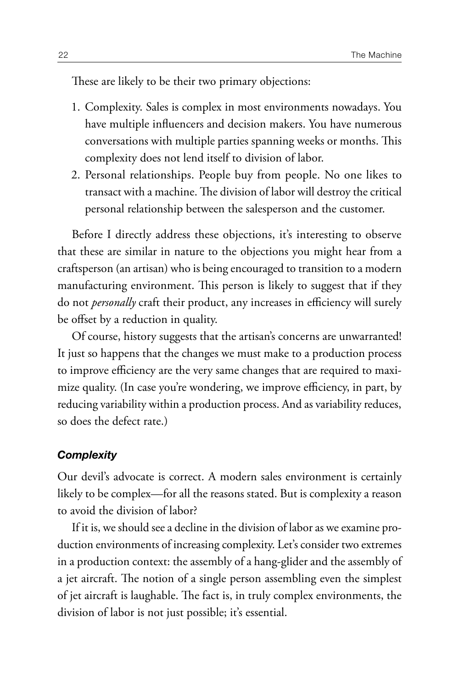These are likely to be their two primary objections:

- 1. Complexity. Sales is complex in most environments nowadays. You have multiple influencers and decision makers. You have numerous conversations with multiple parties spanning weeks or months. This complexity does not lend itself to division of labor.
- 2. Personal relationships. People buy from people. No one likes to transact with a machine. The division of labor will destroy the critical personal relationship between the salesperson and the customer.

Before I directly address these objections, it's interesting to observe that these are similar in nature to the objections you might hear from a craftsperson (an artisan) who is being encouraged to transition to a modern manufacturing environment. This person is likely to suggest that if they do not *personally* craft their product, any increases in efficiency will surely be offset by a reduction in quality.

Of course, history suggests that the artisan's concerns are unwarranted! It just so happens that the changes we must make to a production process to improve efficiency are the very same changes that are required to maximize quality. (In case you're wondering, we improve efficiency, in part, by reducing variability within a production process. And as variability reduces, so does the defect rate.)

#### *Complexity*

Our devil's advocate is correct. A modern sales environment is certainly likely to be complex—for all the reasons stated. But is complexity a reason to avoid the division of labor?

If it is, we should see a decline in the division of labor as we examine production environments of increasing complexity. Let's consider two extremes in a production context: the assembly of a hang-glider and the assembly of a jet aircraft. The notion of a single person assembling even the simplest of jet aircraft is laughable. The fact is, in truly complex environments, the division of labor is not just possible; it's essential.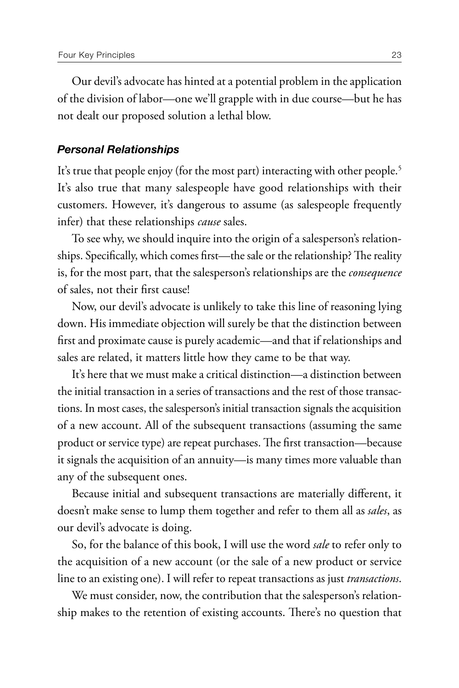Our devil's advocate has hinted at a potential problem in the application of the division of labor—one we'll grapple with in due course—but he has not dealt our proposed solution a lethal blow.

#### *Personal Relationships*

It's true that people enjoy (for the most part) interacting with other people.<sup>5</sup> It's also true that many salespeople have good relationships with their customers. However, it's dangerous to assume (as salespeople frequently infer) that these relationships *cause* sales.

To see why, we should inquire into the origin of a salesperson's relationships. Specifically, which comes first—the sale or the relationship? The reality is, for the most part, that the salesperson's relationships are the *consequence* of sales, not their first cause!

Now, our devil's advocate is unlikely to take this line of reasoning lying down. His immediate objection will surely be that the distinction between first and proximate cause is purely academic—and that if relationships and sales are related, it matters little how they came to be that way.

It's here that we must make a critical distinction—a distinction between the initial transaction in a series of transactions and the rest of those transactions. In most cases, the salesperson's initial transaction signals the acquisition of a new account. All of the subsequent transactions (assuming the same product or service type) are repeat purchases. The first transaction—because it signals the acquisition of an annuity—is many times more valuable than any of the subsequent ones.

Because initial and subsequent transactions are materially different, it doesn't make sense to lump them together and refer to them all as *sales*, as our devil's advocate is doing.

So, for the balance of this book, I will use the word *sale* to refer only to the acquisition of a new account (or the sale of a new product or service line to an existing one). I will refer to repeat transactions as just *transactions*.

We must consider, now, the contribution that the salesperson's relationship makes to the retention of existing accounts. There's no question that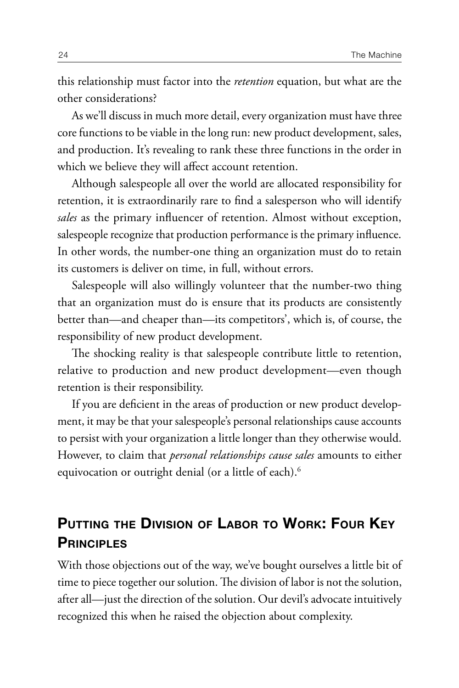this relationship must factor into the *retention* equation, but what are the other considerations?

As we'll discuss in much more detail, every organization must have three core functions to be viable in the long run: new product development, sales, and production. It's revealing to rank these three functions in the order in which we believe they will affect account retention.

Although salespeople all over the world are allocated responsibility for retention, it is extraordinarily rare to find a salesperson who will identify *sales* as the primary influencer of retention. Almost without exception, salespeople recognize that production performance is the primary influence. In other words, the number-one thing an organization must do to retain its customers is deliver on time, in full, without errors.

Salespeople will also willingly volunteer that the number-two thing that an organization must do is ensure that its products are consistently better than—and cheaper than—its competitors', which is, of course, the responsibility of new product development.

The shocking reality is that salespeople contribute little to retention, relative to production and new product development—even though retention is their responsibility.

If you are deficient in the areas of production or new product development, it may be that your salespeople's personal relationships cause accounts to persist with your organization a little longer than they otherwise would. However, to claim that *personal relationships cause sales* amounts to either equivocation or outright denial (or a little of each).6

# PUTTING THE DIVISION OF LABOR TO WORK: FOUR KEY **PRINCIPI FS**

With those objections out of the way, we've bought ourselves a little bit of time to piece together our solution. The division of labor is not the solution, after all—just the direction of the solution. Our devil's advocate intuitively recognized this when he raised the objection about complexity.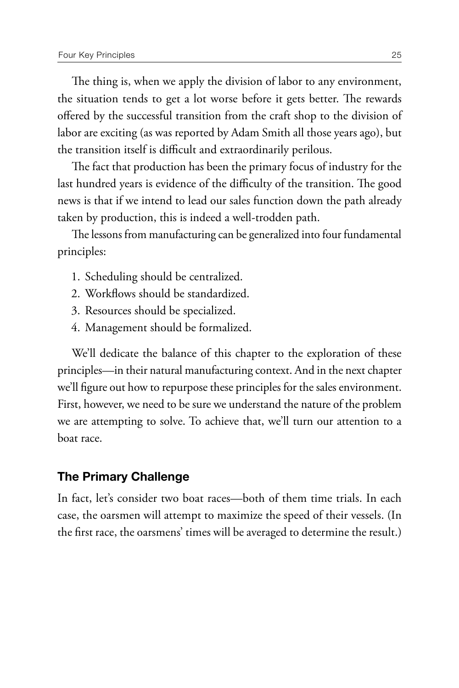The thing is, when we apply the division of labor to any environment, the situation tends to get a lot worse before it gets better. The rewards offered by the successful transition from the craft shop to the division of labor are exciting (as was reported by Adam Smith all those years ago), but the transition itself is difficult and extraordinarily perilous.

The fact that production has been the primary focus of industry for the last hundred years is evidence of the difficulty of the transition. The good news is that if we intend to lead our sales function down the path already taken by production, this is indeed a well-trodden path.

The lessons from manufacturing can be generalized into four fundamental principles:

- 1. Scheduling should be centralized.
- 2. Workflows should be standardized.
- 3. Resources should be specialized.
- 4. Management should be formalized.

We'll dedicate the balance of this chapter to the exploration of these principles—in their natural manufacturing context. And in the next chapter we'll figure out how to repurpose these principles for the sales environment. First, however, we need to be sure we understand the nature of the problem we are attempting to solve. To achieve that, we'll turn our attention to a boat race.

#### The Primary Challenge

In fact, let's consider two boat races—both of them time trials. In each case, the oarsmen will attempt to maximize the speed of their vessels. (In the first race, the oarsmens' times will be averaged to determine the result.)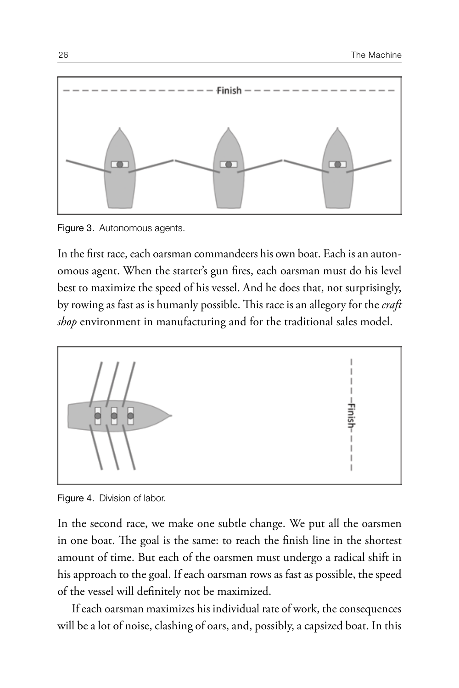

Figure 3. Autonomous agents.

In the first race, each oarsman commandeers his own boat. Each is an autonomous agent. When the starter's gun fires, each oarsman must do his level best to maximize the speed of his vessel. And he does that, not surprisingly, by rowing as fast as is humanly possible. This race is an allegory for the *craft shop* environment in manufacturing and for the traditional sales model.



Figure 4. Division of labor.

In the second race, we make one subtle change. We put all the oarsmen in one boat. The goal is the same: to reach the finish line in the shortest amount of time. But each of the oarsmen must undergo a radical shift in his approach to the goal. If each oarsman rows as fast as possible, the speed of the vessel will definitely not be maximized.

If each oarsman maximizes his individual rate of work, the consequences will be a lot of noise, clashing of oars, and, possibly, a capsized boat. In this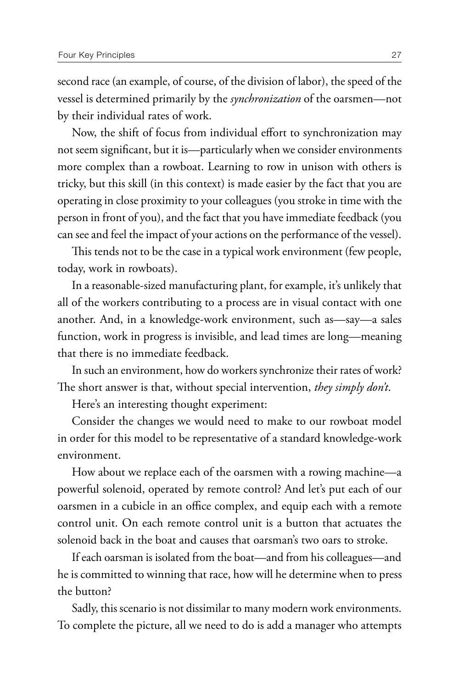second race (an example, of course, of the division of labor), the speed of the vessel is determined primarily by the *synchronization* of the oarsmen—not by their individual rates of work.

Now, the shift of focus from individual effort to synchronization may not seem significant, but it is—particularly when we consider environments more complex than a rowboat. Learning to row in unison with others is tricky, but this skill (in this context) is made easier by the fact that you are operating in close proximity to your colleagues (you stroke in time with the person in front of you), and the fact that you have immediate feedback (you can see and feel the impact of your actions on the performance of the vessel).

This tends not to be the case in a typical work environment (few people, today, work in rowboats).

In a reasonable-sized manufacturing plant, for example, it's unlikely that all of the workers contributing to a process are in visual contact with one another. And, in a knowledge-work environment, such as—say—a sales function, work in progress is invisible, and lead times are long—meaning that there is no immediate feedback.

In such an environment, how do workers synchronize their rates of work? The short answer is that, without special intervention, *they simply don't*.

Here's an interesting thought experiment:

Consider the changes we would need to make to our rowboat model in order for this model to be representative of a standard knowledge-work environment.

How about we replace each of the oarsmen with a rowing machine—a powerful solenoid, operated by remote control? And let's put each of our oarsmen in a cubicle in an office complex, and equip each with a remote control unit. On each remote control unit is a button that actuates the solenoid back in the boat and causes that oarsman's two oars to stroke.

If each oarsman is isolated from the boat—and from his colleagues—and he is committed to winning that race, how will he determine when to press the button?

Sadly, this scenario is not dissimilar to many modern work environments. To complete the picture, all we need to do is add a manager who attempts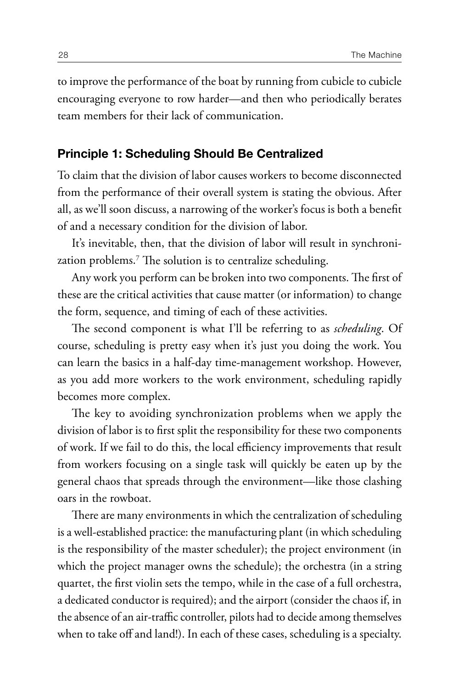to improve the performance of the boat by running from cubicle to cubicle encouraging everyone to row harder—and then who periodically berates team members for their lack of communication.

#### Principle 1: Scheduling Should Be Centralized

To claim that the division of labor causes workers to become disconnected from the performance of their overall system is stating the obvious. After all, as we'll soon discuss, a narrowing of the worker's focus is both a benefit of and a necessary condition for the division of labor.

It's inevitable, then, that the division of labor will result in synchronization problems.7 The solution is to centralize scheduling.

Any work you perform can be broken into two components. The first of these are the critical activities that cause matter (or information) to change the form, sequence, and timing of each of these activities.

The second component is what I'll be referring to as *scheduling*. Of course, scheduling is pretty easy when it's just you doing the work. You can learn the basics in a half-day time-management workshop. However, as you add more workers to the work environment, scheduling rapidly becomes more complex.

The key to avoiding synchronization problems when we apply the division of labor is to first split the responsibility for these two components of work. If we fail to do this, the local efficiency improvements that result from workers focusing on a single task will quickly be eaten up by the general chaos that spreads through the environment—like those clashing oars in the rowboat.

There are many environments in which the centralization of scheduling is a well-established practice: the manufacturing plant (in which scheduling is the responsibility of the master scheduler); the project environment (in which the project manager owns the schedule); the orchestra (in a string quartet, the first violin sets the tempo, while in the case of a full orchestra, a dedicated conductor is required); and the airport (consider the chaos if, in the absence of an air-traffic controller, pilots had to decide among themselves when to take off and land!). In each of these cases, scheduling is a specialty.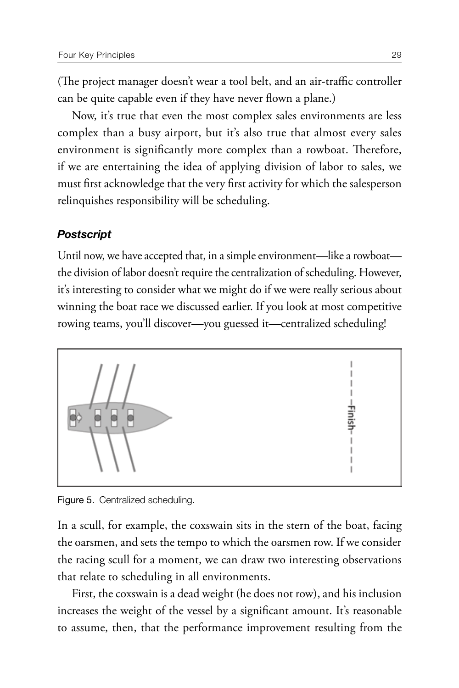(The project manager doesn't wear a tool belt, and an air-traffic controller can be quite capable even if they have never flown a plane.)

Now, it's true that even the most complex sales environments are less complex than a busy airport, but it's also true that almost every sales environment is significantly more complex than a rowboat. Therefore, if we are entertaining the idea of applying division of labor to sales, we must first acknowledge that the very first activity for which the salesperson relinquishes responsibility will be scheduling.

#### *Postscript*

Until now, we have accepted that, in a simple environment—like a rowboat the division of labor doesn't require the centralization of scheduling. However, it's interesting to consider what we might do if we were really serious about winning the boat race we discussed earlier. If you look at most competitive rowing teams, you'll discover—you guessed it—centralized scheduling!



Figure 5. Centralized scheduling.

In a scull, for example, the coxswain sits in the stern of the boat, facing the oarsmen, and sets the tempo to which the oarsmen row. If we consider the racing scull for a moment, we can draw two interesting observations that relate to scheduling in all environments.

First, the coxswain is a dead weight (he does not row), and his inclusion increases the weight of the vessel by a significant amount. It's reasonable to assume, then, that the performance improvement resulting from the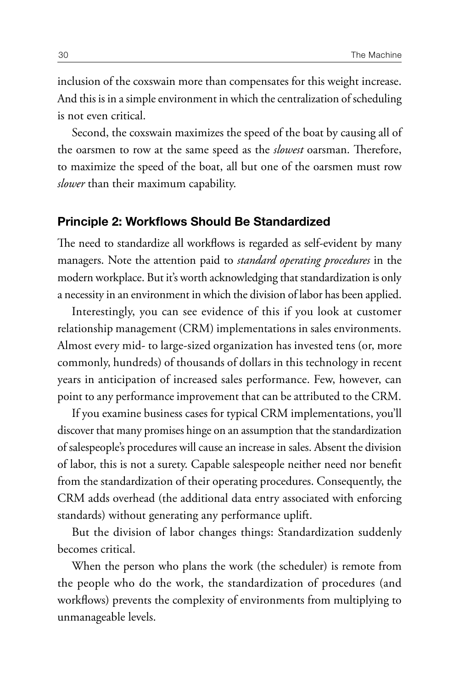inclusion of the coxswain more than compensates for this weight increase. And this is in a simple environment in which the centralization of scheduling is not even critical.

Second, the coxswain maximizes the speed of the boat by causing all of the oarsmen to row at the same speed as the *slowest* oarsman. Therefore, to maximize the speed of the boat, all but one of the oarsmen must row *slower* than their maximum capability.

#### Principle 2: Workflows Should Be Standardized

The need to standardize all workflows is regarded as self-evident by many managers. Note the attention paid to *standard operating procedures* in the modern workplace. But it's worth acknowledging that standardization is only a necessity in an environment in which the division of labor has been applied.

Interestingly, you can see evidence of this if you look at customer relationship management (CRM) implementations in sales environments. Almost every mid- to large-sized organization has invested tens (or, more commonly, hundreds) of thousands of dollars in this technology in recent years in anticipation of increased sales performance. Few, however, can point to any performance improvement that can be attributed to the CRM.

If you examine business cases for typical CRM implementations, you'll discover that many promises hinge on an assumption that the standardization of salespeople's procedures will cause an increase in sales. Absent the division of labor, this is not a surety. Capable salespeople neither need nor benefit from the standardization of their operating procedures. Consequently, the CRM adds overhead (the additional data entry associated with enforcing standards) without generating any performance uplift.

But the division of labor changes things: Standardization suddenly becomes critical.

When the person who plans the work (the scheduler) is remote from the people who do the work, the standardization of procedures (and workflows) prevents the complexity of environments from multiplying to unmanageable levels.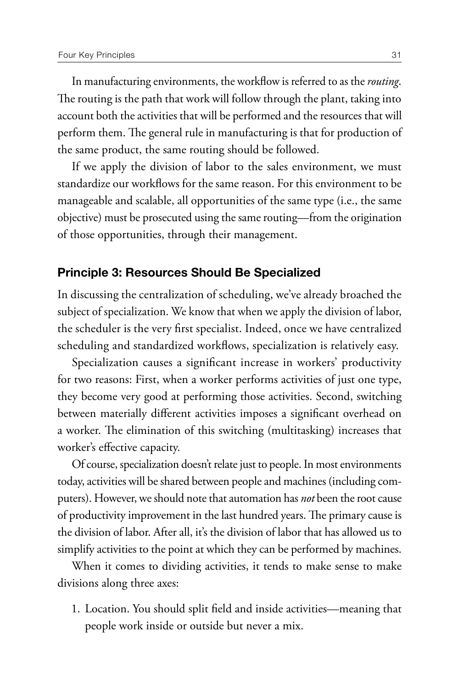In manufacturing environments, the workflow is referred to as the *routing*. The routing is the path that work will follow through the plant, taking into account both the activities that will be performed and the resources that will perform them. The general rule in manufacturing is that for production of the same product, the same routing should be followed.

If we apply the division of labor to the sales environment, we must standardize our workflows for the same reason. For this environment to be manageable and scalable, all opportunities of the same type (i.e., the same objective) must be prosecuted using the same routing—from the origination of those opportunities, through their management.

#### Principle 3: Resources Should Be Specialized

In discussing the centralization of scheduling, we've already broached the subject of specialization. We know that when we apply the division of labor, the scheduler is the very first specialist. Indeed, once we have centralized scheduling and standardized workflows, specialization is relatively easy.

Specialization causes a significant increase in workers' productivity for two reasons: First, when a worker performs activities of just one type, they become very good at performing those activities. Second, switching between materially different activities imposes a significant overhead on a worker. The elimination of this switching (multitasking) increases that worker's effective capacity.

Of course, specialization doesn't relate just to people. In most environments today, activities will be shared between people and machines (including computers). However, we should note that automation has *not* been the root cause of productivity improvement in the last hundred years. The primary cause is the division of labor. After all, it's the division of labor that has allowed us to simplify activities to the point at which they can be performed by machines.

When it comes to dividing activities, it tends to make sense to make divisions along three axes:

1. Location. You should split field and inside activities—meaning that people work inside or outside but never a mix.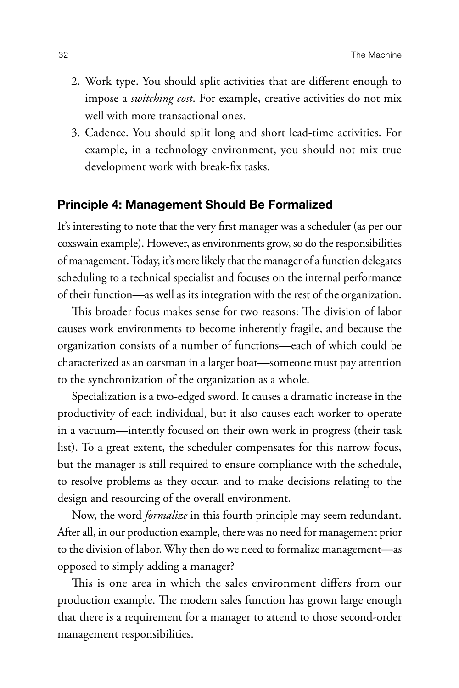- 2. Work type. You should split activities that are different enough to impose a *switching cost*. For example, creative activities do not mix well with more transactional ones.
- 3. Cadence. You should split long and short lead-time activities. For example, in a technology environment, you should not mix true development work with break-fix tasks.

#### Principle 4: Management Should Be Formalized

It's interesting to note that the very first manager was a scheduler (as per our coxswain example). However, as environments grow, so do the responsibilities of management. Today, it's more likely that the manager of a function delegates scheduling to a technical specialist and focuses on the internal performance of their function—as well as its integration with the rest of the organization.

This broader focus makes sense for two reasons: The division of labor causes work environments to become inherently fragile, and because the organization consists of a number of functions—each of which could be characterized as an oarsman in a larger boat—someone must pay attention to the synchronization of the organization as a whole.

Specialization is a two-edged sword. It causes a dramatic increase in the productivity of each individual, but it also causes each worker to operate in a vacuum—intently focused on their own work in progress (their task list). To a great extent, the scheduler compensates for this narrow focus, but the manager is still required to ensure compliance with the schedule, to resolve problems as they occur, and to make decisions relating to the design and resourcing of the overall environment.

Now, the word *formalize* in this fourth principle may seem redundant. After all, in our production example, there was no need for management prior to the division of labor. Why then do we need to formalize management—as opposed to simply adding a manager?

This is one area in which the sales environment differs from our production example. The modern sales function has grown large enough that there is a requirement for a manager to attend to those second-order management responsibilities.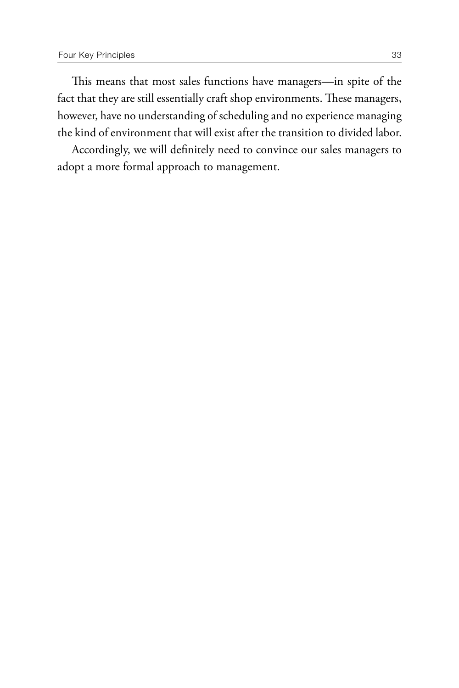This means that most sales functions have managers—in spite of the fact that they are still essentially craft shop environments. These managers, however, have no understanding of scheduling and no experience managing the kind of environment that will exist after the transition to divided labor.

Accordingly, we will definitely need to convince our sales managers to adopt a more formal approach to management.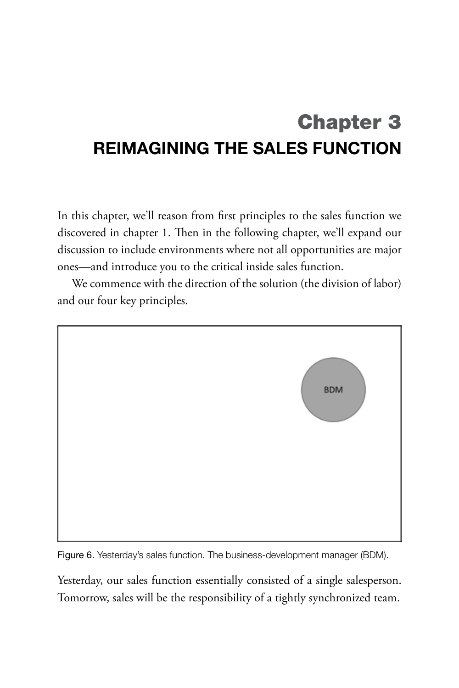# Chapter 3 REIMAGINING THE SALES FUNCTION

In this chapter, we'll reason from first principles to the sales function we discovered in chapter 1. Then in the following chapter, we'll expand our discussion to include environments where not all opportunities are major ones—and introduce you to the critical inside sales function.

We commence with the direction of the solution (the division of labor) and our four key principles.



Figure 6. Yesterday's sales function. The business-development manager (BDM).

Yesterday, our sales function essentially consisted of a single salesperson. Tomorrow, sales will be the responsibility of a tightly synchronized team.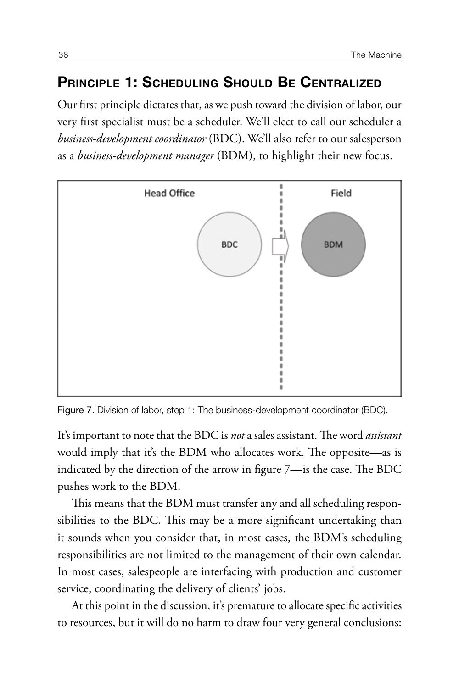# PRINCIPLE 1: SCHEDULING SHOULD BE CENTRALIZED

Our first principle dictates that, as we push toward the division of labor, our very first specialist must be a scheduler. We'll elect to call our scheduler a *business-development coordinator* (BDC). We'll also refer to our salesperson as a *business-development manager* (BDM), to highlight their new focus.



Figure 7. Division of labor, step 1: The business-development coordinator (BDC).

It's important to note that the BDC is *not* a sales assistant. The word *assistant* would imply that it's the BDM who allocates work. The opposite—as is indicated by the direction of the arrow in figure 7—is the case. The BDC pushes work to the BDM.

This means that the BDM must transfer any and all scheduling responsibilities to the BDC. This may be a more significant undertaking than it sounds when you consider that, in most cases, the BDM's scheduling responsibilities are not limited to the management of their own calendar. In most cases, salespeople are interfacing with production and customer service, coordinating the delivery of clients' jobs.

At this point in the discussion, it's premature to allocate specific activities to resources, but it will do no harm to draw four very general conclusions: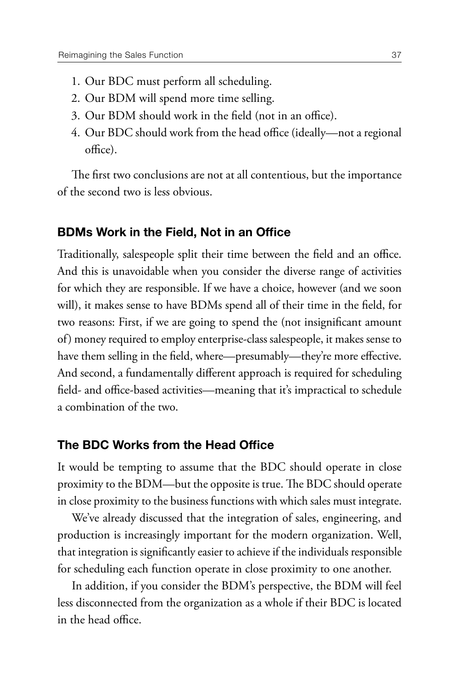- 1. Our BDC must perform all scheduling.
- 2. Our BDM will spend more time selling.
- 3. Our BDM should work in the field (not in an office).
- 4. Our BDC should work from the head office (ideally—not a regional office).

The first two conclusions are not at all contentious, but the importance of the second two is less obvious.

#### BDMs Work in the Field, Not in an Office

Traditionally, salespeople split their time between the field and an office. And this is unavoidable when you consider the diverse range of activities for which they are responsible. If we have a choice, however (and we soon will), it makes sense to have BDMs spend all of their time in the field, for two reasons: First, if we are going to spend the (not insignificant amount of) money required to employ enterprise-class salespeople, it makes sense to have them selling in the field, where—presumably—they're more effective. And second, a fundamentally different approach is required for scheduling field- and office-based activities—meaning that it's impractical to schedule a combination of the two.

#### The BDC Works from the Head Office

It would be tempting to assume that the BDC should operate in close proximity to the BDM—but the opposite is true. The BDC should operate in close proximity to the business functions with which sales must integrate.

We've already discussed that the integration of sales, engineering, and production is increasingly important for the modern organization. Well, that integration is significantly easier to achieve if the individuals responsible for scheduling each function operate in close proximity to one another.

In addition, if you consider the BDM's perspective, the BDM will feel less disconnected from the organization as a whole if their BDC is located in the head office.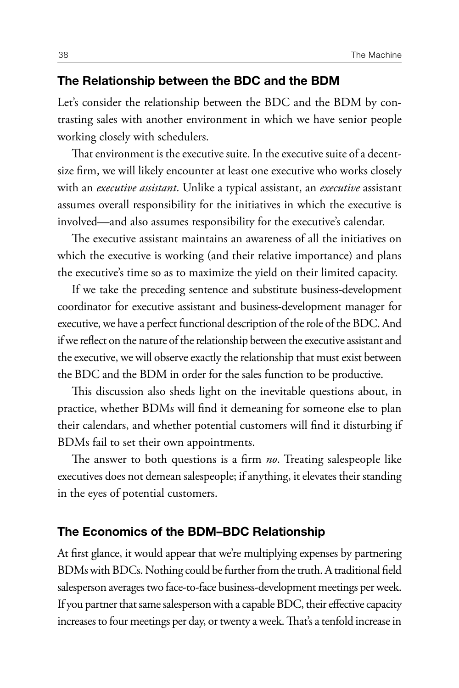#### The Relationship between the BDC and the BDM

Let's consider the relationship between the BDC and the BDM by contrasting sales with another environment in which we have senior people working closely with schedulers.

That environment is the executive suite. In the executive suite of a decentsize firm, we will likely encounter at least one executive who works closely with an *executive assistant*. Unlike a typical assistant, an *executive* assistant assumes overall responsibility for the initiatives in which the executive is involved—and also assumes responsibility for the executive's calendar.

The executive assistant maintains an awareness of all the initiatives on which the executive is working (and their relative importance) and plans the executive's time so as to maximize the yield on their limited capacity.

If we take the preceding sentence and substitute business-development coordinator for executive assistant and business-development manager for executive, we have a perfect functional description of the role of the BDC. And if we reflect on the nature of the relationship between the executive assistant and the executive, we will observe exactly the relationship that must exist between the BDC and the BDM in order for the sales function to be productive.

This discussion also sheds light on the inevitable questions about, in practice, whether BDMs will find it demeaning for someone else to plan their calendars, and whether potential customers will find it disturbing if BDMs fail to set their own appointments.

The answer to both questions is a firm *no*. Treating salespeople like executives does not demean salespeople; if anything, it elevates their standing in the eyes of potential customers.

#### The Economics of the BDM–BDC Relationship

At first glance, it would appear that we're multiplying expenses by partnering BDMs with BDCs. Nothing could be further from the truth. A traditional field salesperson averages two face-to-face business-development meetings per week. If you partner that same salesperson with a capable BDC, their effective capacity increases to four meetings per day, or twenty a week. That's a tenfold increase in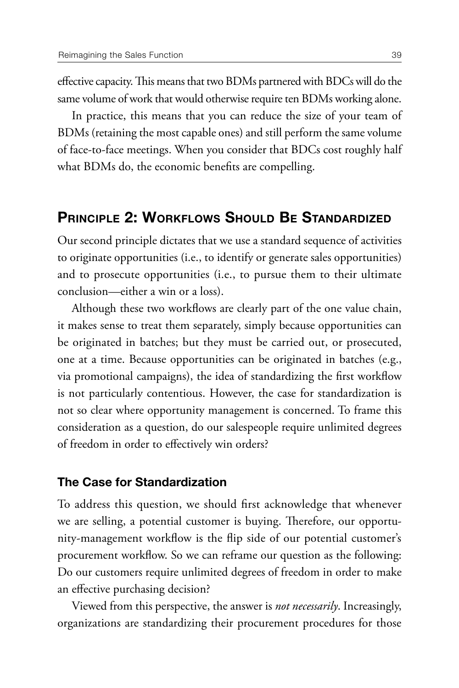effective capacity. This means that two BDMs partnered with BDCs will do the same volume of work that would otherwise require ten BDMs working alone.

In practice, this means that you can reduce the size of your team of BDMs (retaining the most capable ones) and still perform the same volume of face-to-face meetings. When you consider that BDCs cost roughly half what BDMs do, the economic benefits are compelling.

# Principle 2: Workflows Should Be Standardized

Our second principle dictates that we use a standard sequence of activities to originate opportunities (i.e., to identify or generate sales opportunities) and to prosecute opportunities (i.e., to pursue them to their ultimate conclusion—either a win or a loss).

Although these two workflows are clearly part of the one value chain, it makes sense to treat them separately, simply because opportunities can be originated in batches; but they must be carried out, or prosecuted, one at a time. Because opportunities can be originated in batches (e.g., via promotional campaigns), the idea of standardizing the first workflow is not particularly contentious. However, the case for standardization is not so clear where opportunity management is concerned. To frame this consideration as a question, do our salespeople require unlimited degrees of freedom in order to effectively win orders?

#### The Case for Standardization

To address this question, we should first acknowledge that whenever we are selling, a potential customer is buying. Therefore, our opportunity-management workflow is the flip side of our potential customer's procurement workflow. So we can reframe our question as the following: Do our customers require unlimited degrees of freedom in order to make an effective purchasing decision?

Viewed from this perspective, the answer is *not necessarily*. Increasingly, organizations are standardizing their procurement procedures for those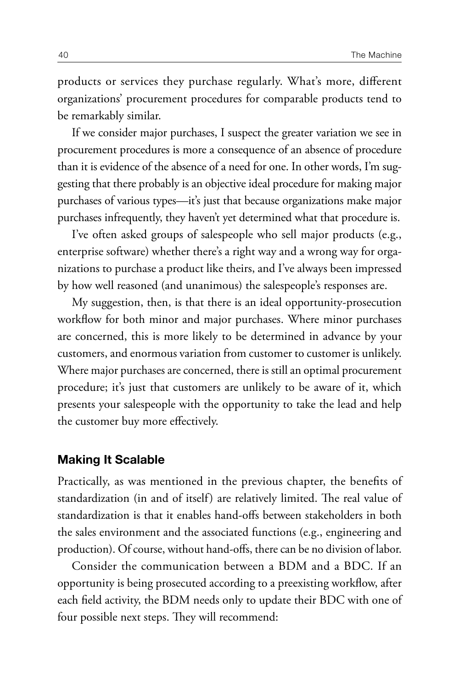products or services they purchase regularly. What's more, different organizations' procurement procedures for comparable products tend to be remarkably similar.

If we consider major purchases, I suspect the greater variation we see in procurement procedures is more a consequence of an absence of procedure than it is evidence of the absence of a need for one. In other words, I'm suggesting that there probably is an objective ideal procedure for making major purchases of various types—it's just that because organizations make major purchases infrequently, they haven't yet determined what that procedure is.

I've often asked groups of salespeople who sell major products (e.g., enterprise software) whether there's a right way and a wrong way for organizations to purchase a product like theirs, and I've always been impressed by how well reasoned (and unanimous) the salespeople's responses are.

My suggestion, then, is that there is an ideal opportunity-prosecution workflow for both minor and major purchases. Where minor purchases are concerned, this is more likely to be determined in advance by your customers, and enormous variation from customer to customer is unlikely. Where major purchases are concerned, there is still an optimal procurement procedure; it's just that customers are unlikely to be aware of it, which presents your salespeople with the opportunity to take the lead and help the customer buy more effectively.

#### Making It Scalable

Practically, as was mentioned in the previous chapter, the benefits of standardization (in and of itself) are relatively limited. The real value of standardization is that it enables hand-offs between stakeholders in both the sales environment and the associated functions (e.g., engineering and production). Of course, without hand-offs, there can be no division of labor.

Consider the communication between a BDM and a BDC. If an opportunity is being prosecuted according to a preexisting workflow, after each field activity, the BDM needs only to update their BDC with one of four possible next steps. They will recommend: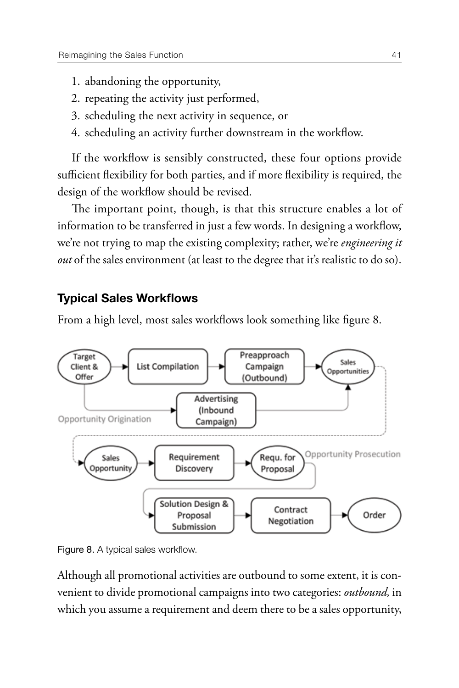- 1. abandoning the opportunity,
- 2. repeating the activity just performed,
- 3. scheduling the next activity in sequence, or
- 4. scheduling an activity further downstream in the workflow.

If the workflow is sensibly constructed, these four options provide sufficient flexibility for both parties, and if more flexibility is required, the design of the workflow should be revised.

The important point, though, is that this structure enables a lot of information to be transferred in just a few words. In designing a workflow, we're not trying to map the existing complexity; rather, we're *engineering it out* of the sales environment (at least to the degree that it's realistic to do so).

#### Typical Sales Workflows

From a high level, most sales workflows look something like figure 8.



Figure 8. A typical sales workflow.

Although all promotional activities are outbound to some extent, it is convenient to divide promotional campaigns into two categories: *outbound,* in which you assume a requirement and deem there to be a sales opportunity,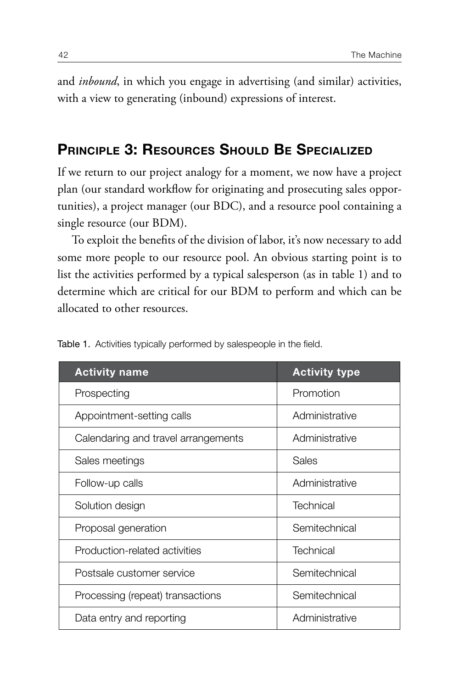and *inbound*, in which you engage in advertising (and similar) activities, with a view to generating (inbound) expressions of interest.

### Principle 3: Resources Should Be Specialized

If we return to our project analogy for a moment, we now have a project plan (our standard workflow for originating and prosecuting sales opportunities), a project manager (our BDC), and a resource pool containing a single resource (our BDM).

To exploit the benefits of the division of labor, it's now necessary to add some more people to our resource pool. An obvious starting point is to list the activities performed by a typical salesperson (as in table 1) and to determine which are critical for our BDM to perform and which can be allocated to other resources.

| <b>Activity name</b>                | <b>Activity type</b> |
|-------------------------------------|----------------------|
| Prospecting                         | Promotion            |
| Appointment-setting calls           | Administrative       |
| Calendaring and travel arrangements | Administrative       |
| Sales meetings                      | Sales                |
| Follow-up calls                     | Administrative       |
| Solution design                     | Technical            |
| Proposal generation                 | Semitechnical        |
| Production-related activities       | Technical            |
| Postsale customer service           | Semitechnical        |
| Processing (repeat) transactions    | Semitechnical        |
| Data entry and reporting            | Administrative       |

Table 1. Activities typically performed by salespeople in the field.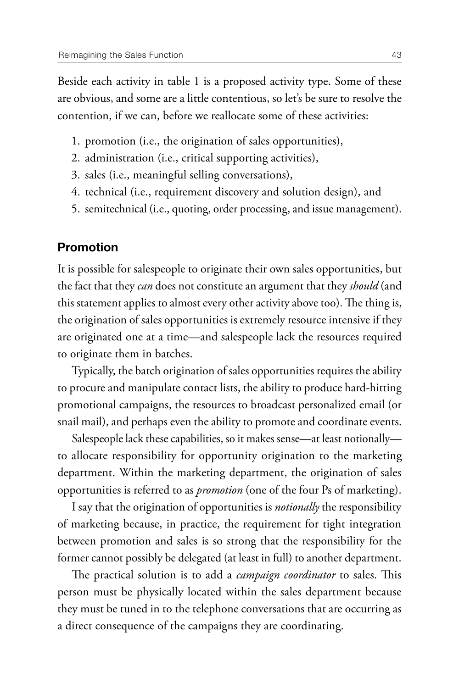Beside each activity in table 1 is a proposed activity type. Some of these are obvious, and some are a little contentious, so let's be sure to resolve the contention, if we can, before we reallocate some of these activities:

- 1. promotion (i.e., the origination of sales opportunities),
- 2. administration (i.e., critical supporting activities),
- 3. sales (i.e., meaningful selling conversations),
- 4. technical (i.e., requirement discovery and solution design), and
- 5. semitechnical (i.e., quoting, order processing, and issue management).

#### Promotion

It is possible for salespeople to originate their own sales opportunities, but the fact that they *can* does not constitute an argument that they *should* (and this statement applies to almost every other activity above too). The thing is, the origination of sales opportunities is extremely resource intensive if they are originated one at a time—and salespeople lack the resources required to originate them in batches.

Typically, the batch origination of sales opportunities requires the ability to procure and manipulate contact lists, the ability to produce hard-hitting promotional campaigns, the resources to broadcast personalized email (or snail mail), and perhaps even the ability to promote and coordinate events.

Salespeople lack these capabilities, so it makes sense—at least notionally to allocate responsibility for opportunity origination to the marketing department. Within the marketing department, the origination of sales opportunities is referred to as *promotion* (one of the four Ps of marketing).

I say that the origination of opportunities is *notionally* the responsibility of marketing because, in practice, the requirement for tight integration between promotion and sales is so strong that the responsibility for the former cannot possibly be delegated (at least in full) to another department.

The practical solution is to add a *campaign coordinator* to sales. This person must be physically located within the sales department because they must be tuned in to the telephone conversations that are occurring as a direct consequence of the campaigns they are coordinating.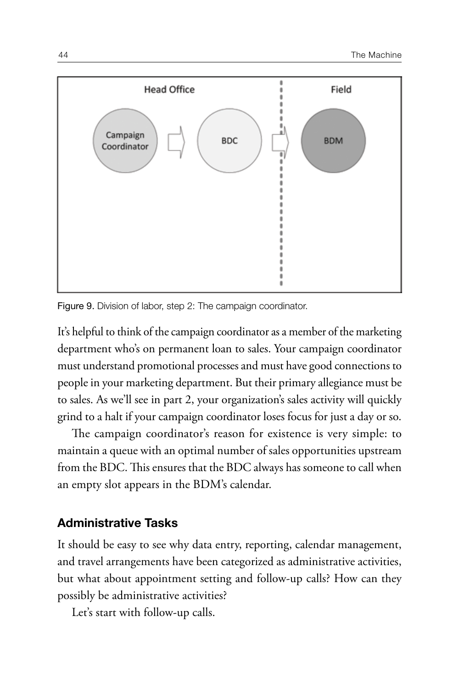

Figure 9. Division of labor, step 2: The campaign coordinator.

It's helpful to think of the campaign coordinator as a member of the marketing department who's on permanent loan to sales. Your campaign coordinator must understand promotional processes and must have good connections to people in your marketing department. But their primary allegiance must be to sales. As we'll see in part 2, your organization's sales activity will quickly grind to a halt if your campaign coordinator loses focus for just a day or so.

The campaign coordinator's reason for existence is very simple: to maintain a queue with an optimal number of sales opportunities upstream from the BDC. This ensures that the BDC always has someone to call when an empty slot appears in the BDM's calendar.

#### Administrative Tasks

It should be easy to see why data entry, reporting, calendar management, and travel arrangements have been categorized as administrative activities, but what about appointment setting and follow-up calls? How can they possibly be administrative activities?

Let's start with follow-up calls.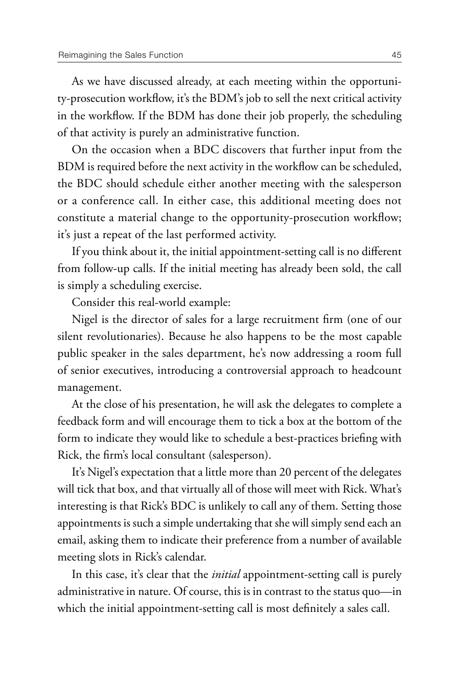As we have discussed already, at each meeting within the opportunity-prosecution workflow, it's the BDM's job to sell the next critical activity in the workflow. If the BDM has done their job properly, the scheduling of that activity is purely an administrative function.

On the occasion when a BDC discovers that further input from the BDM is required before the next activity in the workflow can be scheduled, the BDC should schedule either another meeting with the salesperson or a conference call. In either case, this additional meeting does not constitute a material change to the opportunity-prosecution workflow; it's just a repeat of the last performed activity.

If you think about it, the initial appointment-setting call is no different from follow-up calls. If the initial meeting has already been sold, the call is simply a scheduling exercise.

Consider this real-world example:

Nigel is the director of sales for a large recruitment firm (one of our silent revolutionaries). Because he also happens to be the most capable public speaker in the sales department, he's now addressing a room full of senior executives, introducing a controversial approach to headcount management.

At the close of his presentation, he will ask the delegates to complete a feedback form and will encourage them to tick a box at the bottom of the form to indicate they would like to schedule a best-practices briefing with Rick, the firm's local consultant (salesperson).

It's Nigel's expectation that a little more than 20 percent of the delegates will tick that box, and that virtually all of those will meet with Rick. What's interesting is that Rick's BDC is unlikely to call any of them. Setting those appointments is such a simple undertaking that she will simply send each an email, asking them to indicate their preference from a number of available meeting slots in Rick's calendar.

In this case, it's clear that the *initial* appointment-setting call is purely administrative in nature. Of course, this is in contrast to the status quo—in which the initial appointment-setting call is most definitely a sales call.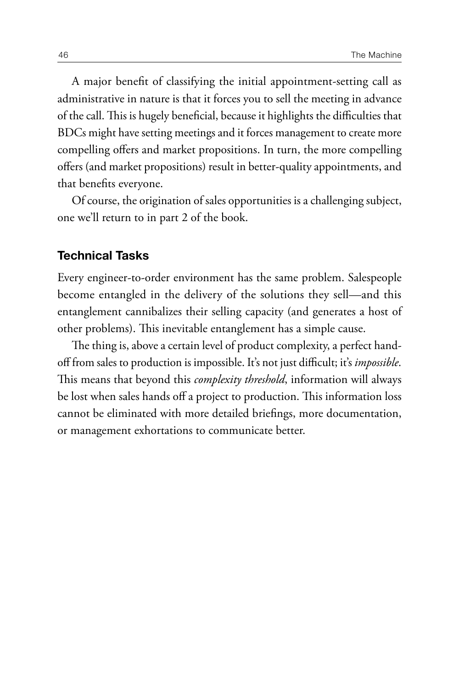A major benefit of classifying the initial appointment-setting call as administrative in nature is that it forces you to sell the meeting in advance of the call. This is hugely beneficial, because it highlights the difficulties that BDCs might have setting meetings and it forces management to create more compelling offers and market propositions. In turn, the more compelling offers (and market propositions) result in better-quality appointments, and that benefits everyone.

Of course, the origination of sales opportunities is a challenging subject, one we'll return to in part 2 of the book.

#### Technical Tasks

Every engineer-to-order environment has the same problem. Salespeople become entangled in the delivery of the solutions they sell—and this entanglement cannibalizes their selling capacity (and generates a host of other problems). This inevitable entanglement has a simple cause.

The thing is, above a certain level of product complexity, a perfect handoff from sales to production is impossible. It's not just difficult; it's *impossible*. This means that beyond this *complexity threshold*, information will always be lost when sales hands off a project to production. This information loss cannot be eliminated with more detailed briefings, more documentation, or management exhortations to communicate better.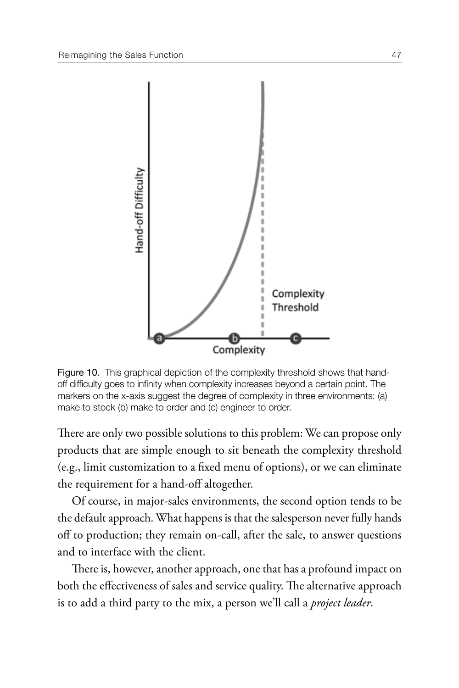

Figure 10. This graphical depiction of the complexity threshold shows that handoff difficulty goes to infinity when complexity increases beyond a certain point. The markers on the x-axis suggest the degree of complexity in three environments: (a) make to stock (b) make to order and (c) engineer to order.

There are only two possible solutions to this problem: We can propose only products that are simple enough to sit beneath the complexity threshold (e.g., limit customization to a fixed menu of options), or we can eliminate the requirement for a hand-off altogether.

Of course, in major-sales environments, the second option tends to be the default approach. What happens is that the salesperson never fully hands off to production; they remain on-call, after the sale, to answer questions and to interface with the client.

There is, however, another approach, one that has a profound impact on both the effectiveness of sales and service quality. The alternative approach is to add a third party to the mix, a person we'll call a *project leader*.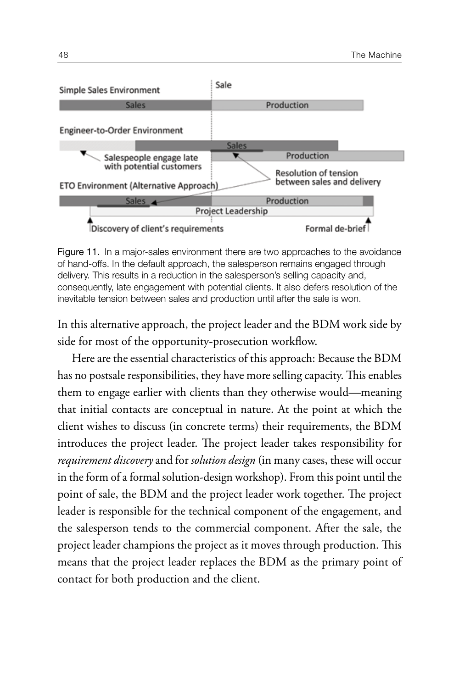

Figure 11. In a major-sales environment there are two approaches to the avoidance of hand-offs. In the default approach, the salesperson remains engaged through delivery. This results in a reduction in the salesperson's selling capacity and, consequently, late engagement with potential clients. It also defers resolution of the inevitable tension between sales and production until after the sale is won.

In this alternative approach, the project leader and the BDM work side by side for most of the opportunity-prosecution workflow.

Here are the essential characteristics of this approach: Because the BDM has no postsale responsibilities, they have more selling capacity. This enables them to engage earlier with clients than they otherwise would—meaning that initial contacts are conceptual in nature. At the point at which the client wishes to discuss (in concrete terms) their requirements, the BDM introduces the project leader. The project leader takes responsibility for *requirement discovery* and for *solution design* (in many cases, these will occur in the form of a formal solution-design workshop). From this point until the point of sale, the BDM and the project leader work together. The project leader is responsible for the technical component of the engagement, and the salesperson tends to the commercial component. After the sale, the project leader champions the project as it moves through production. This means that the project leader replaces the BDM as the primary point of contact for both production and the client.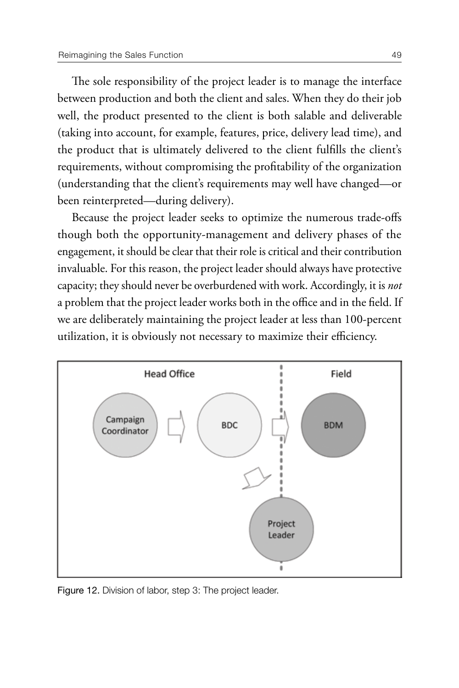The sole responsibility of the project leader is to manage the interface between production and both the client and sales. When they do their job well, the product presented to the client is both salable and deliverable (taking into account, for example, features, price, delivery lead time), and the product that is ultimately delivered to the client fulfills the client's requirements, without compromising the profitability of the organization (understanding that the client's requirements may well have changed—or been reinterpreted—during delivery).

Because the project leader seeks to optimize the numerous trade-offs though both the opportunity-management and delivery phases of the engagement, it should be clear that their role is critical and their contribution invaluable. For this reason, the project leader should always have protective capacity; they should never be overburdened with work. Accordingly, it is *not* a problem that the project leader works both in the office and in the field. If we are deliberately maintaining the project leader at less than 100-percent utilization, it is obviously not necessary to maximize their efficiency.



Figure 12. Division of labor, step 3: The project leader.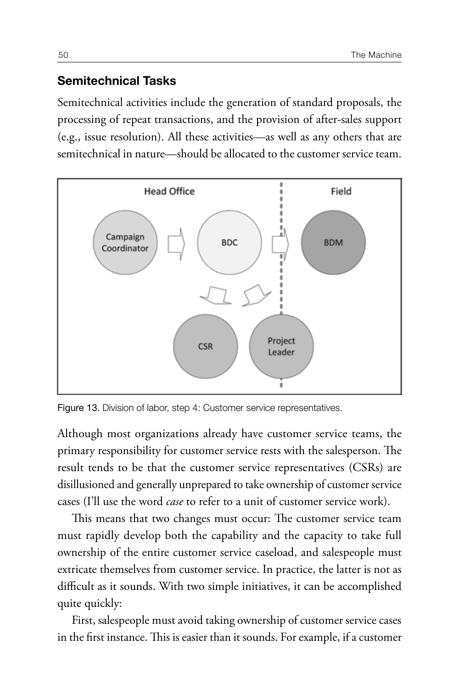### Semitechnical Tasks

Semitechnical activities include the generation of standard proposals, the processing of repeat transactions, and the provision of after-sales support (e.g., issue resolution). All these activities—as well as any others that are semitechnical in nature—should be allocated to the customer service team.



Figure 13. Division of labor, step 4: Customer service representatives.

Although most organizations already have customer service teams, the primary responsibility for customer service rests with the salesperson. The result tends to be that the customer service representatives (CSRs) are disillusioned and generally unprepared to take ownership of customer service cases (I'll use the word *case* to refer to a unit of customer service work).

This means that two changes must occur: The customer service team must rapidly develop both the capability and the capacity to take full ownership of the entire customer service caseload, and salespeople must extricate themselves from customer service. In practice, the latter is not as difficult as it sounds. With two simple initiatives, it can be accomplished quite quickly:

First, salespeople must avoid taking ownership of customer service cases in the first instance. This is easier than it sounds. For example, if a customer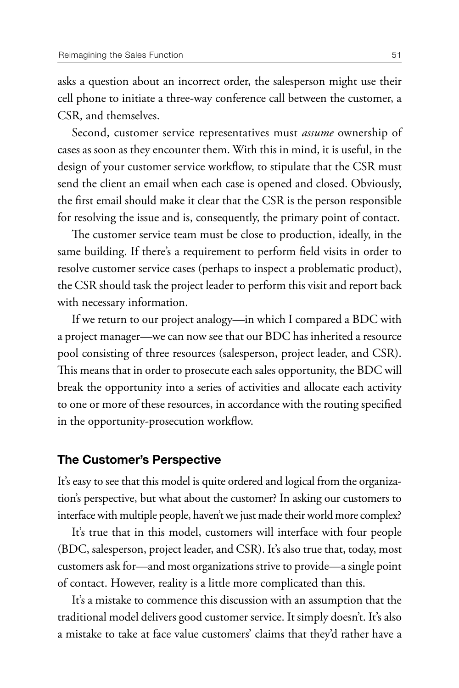asks a question about an incorrect order, the salesperson might use their cell phone to initiate a three-way conference call between the customer, a CSR, and themselves.

Second, customer service representatives must *assume* ownership of cases as soon as they encounter them. With this in mind, it is useful, in the design of your customer service workflow, to stipulate that the CSR must send the client an email when each case is opened and closed. Obviously, the first email should make it clear that the CSR is the person responsible for resolving the issue and is, consequently, the primary point of contact.

The customer service team must be close to production, ideally, in the same building. If there's a requirement to perform field visits in order to resolve customer service cases (perhaps to inspect a problematic product), the CSR should task the project leader to perform this visit and report back with necessary information.

If we return to our project analogy—in which I compared a BDC with a project manager—we can now see that our BDC has inherited a resource pool consisting of three resources (salesperson, project leader, and CSR). This means that in order to prosecute each sales opportunity, the BDC will break the opportunity into a series of activities and allocate each activity to one or more of these resources, in accordance with the routing specified in the opportunity-prosecution workflow.

#### The Customer's Perspective

It's easy to see that this model is quite ordered and logical from the organization's perspective, but what about the customer? In asking our customers to interface with multiple people, haven't we just made their world more complex?

It's true that in this model, customers will interface with four people (BDC, salesperson, project leader, and CSR). It's also true that, today, most customers ask for—and most organizations strive to provide—a single point of contact. However, reality is a little more complicated than this.

It's a mistake to commence this discussion with an assumption that the traditional model delivers good customer service. It simply doesn't. It's also a mistake to take at face value customers' claims that they'd rather have a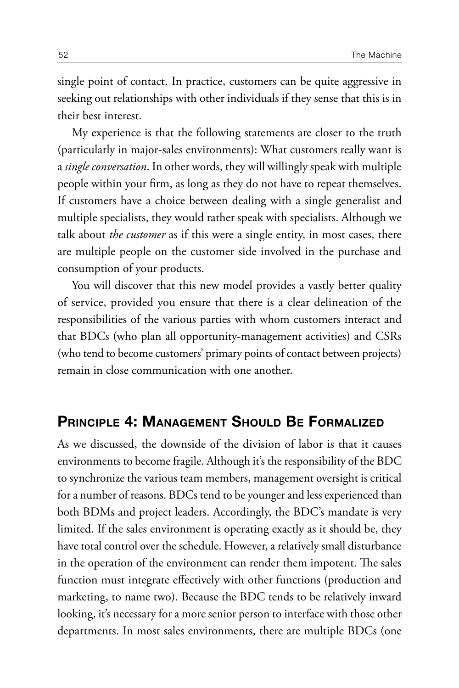single point of contact. In practice, customers can be quite aggressive in seeking out relationships with other individuals if they sense that this is in their best interest.

My experience is that the following statements are closer to the truth (particularly in major-sales environments): What customers really want is a *single conversation*. In other words, they will willingly speak with multiple people within your firm, as long as they do not have to repeat themselves. If customers have a choice between dealing with a single generalist and multiple specialists, they would rather speak with specialists. Although we talk about *the customer* as if this were a single entity, in most cases, there are multiple people on the customer side involved in the purchase and consumption of your products.

You will discover that this new model provides a vastly better quality of service, provided you ensure that there is a clear delineation of the responsibilities of the various parties with whom customers interact and that BDCs (who plan all opportunity-management activities) and CSRs (who tend to become customers' primary points of contact between projects) remain in close communication with one another.

# PRINCIPLE 4: MANAGEMENT SHOULD BE FORMALIZED

As we discussed, the downside of the division of labor is that it causes environments to become fragile. Although it's the responsibility of the BDC to synchronize the various team members, management oversight is critical for a number of reasons. BDCs tend to be younger and less experienced than both BDMs and project leaders. Accordingly, the BDC's mandate is very limited. If the sales environment is operating exactly as it should be, they have total control over the schedule. However, a relatively small disturbance in the operation of the environment can render them impotent. The sales function must integrate effectively with other functions (production and marketing, to name two). Because the BDC tends to be relatively inward looking, it's necessary for a more senior person to interface with those other departments. In most sales environments, there are multiple BDCs (one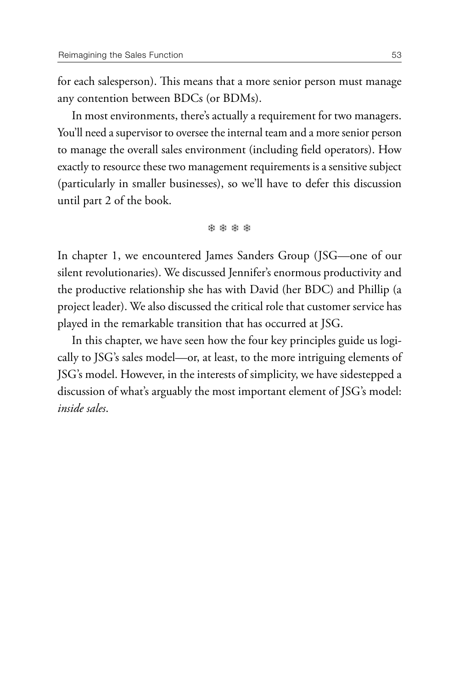for each salesperson). This means that a more senior person must manage any contention between BDCs (or BDMs).

In most environments, there's actually a requirement for two managers. You'll need a supervisor to oversee the internal team and a more senior person to manage the overall sales environment (including field operators). How exactly to resource these two management requirements is a sensitive subject (particularly in smaller businesses), so we'll have to defer this discussion until part 2 of the book.

❄ ❄ ❄ ❄

In chapter 1, we encountered James Sanders Group (JSG—one of our silent revolutionaries). We discussed Jennifer's enormous productivity and the productive relationship she has with David (her BDC) and Phillip (a project leader). We also discussed the critical role that customer service has played in the remarkable transition that has occurred at JSG.

In this chapter, we have seen how the four key principles guide us logically to JSG's sales model—or, at least, to the more intriguing elements of JSG's model. However, in the interests of simplicity, we have sidestepped a discussion of what's arguably the most important element of JSG's model: *inside sales*.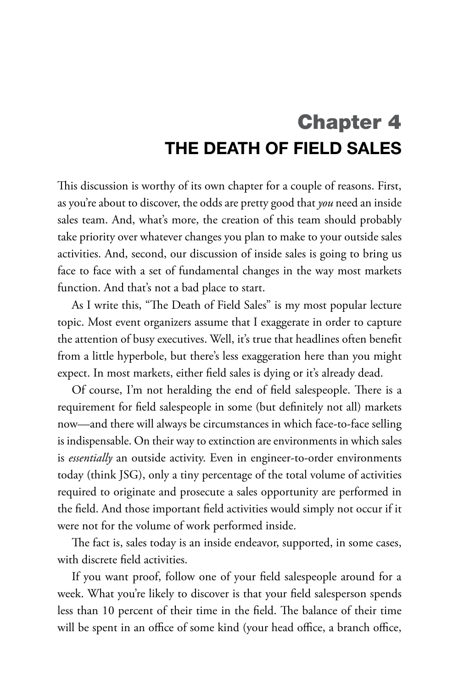# Chapter 4 THE DEATH OF FIELD SALES

This discussion is worthy of its own chapter for a couple of reasons. First, as you're about to discover, the odds are pretty good that *you* need an inside sales team. And, what's more, the creation of this team should probably take priority over whatever changes you plan to make to your outside sales activities. And, second, our discussion of inside sales is going to bring us face to face with a set of fundamental changes in the way most markets function. And that's not a bad place to start.

As I write this, "The Death of Field Sales" is my most popular lecture topic. Most event organizers assume that I exaggerate in order to capture the attention of busy executives. Well, it's true that headlines often benefit from a little hyperbole, but there's less exaggeration here than you might expect. In most markets, either field sales is dying or it's already dead.

Of course, I'm not heralding the end of field salespeople. There is a requirement for field salespeople in some (but definitely not all) markets now—and there will always be circumstances in which face-to-face selling is indispensable. On their way to extinction are environments in which sales is *essentially* an outside activity. Even in engineer-to-order environments today (think JSG), only a tiny percentage of the total volume of activities required to originate and prosecute a sales opportunity are performed in the field. And those important field activities would simply not occur if it were not for the volume of work performed inside.

The fact is, sales today is an inside endeavor, supported, in some cases, with discrete field activities.

If you want proof, follow one of your field salespeople around for a week. What you're likely to discover is that your field salesperson spends less than 10 percent of their time in the field. The balance of their time will be spent in an office of some kind (your head office, a branch office,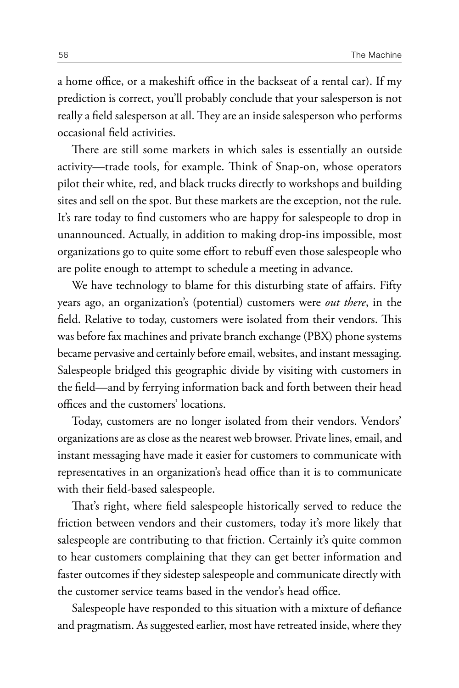a home office, or a makeshift office in the backseat of a rental car). If my prediction is correct, you'll probably conclude that your salesperson is not really a field salesperson at all. They are an inside salesperson who performs occasional field activities.

There are still some markets in which sales is essentially an outside activity—trade tools, for example. Think of Snap-on, whose operators pilot their white, red, and black trucks directly to workshops and building sites and sell on the spot. But these markets are the exception, not the rule. It's rare today to find customers who are happy for salespeople to drop in unannounced. Actually, in addition to making drop-ins impossible, most organizations go to quite some effort to rebuff even those salespeople who are polite enough to attempt to schedule a meeting in advance.

We have technology to blame for this disturbing state of affairs. Fifty years ago, an organization's (potential) customers were *out there*, in the field. Relative to today, customers were isolated from their vendors. This was before fax machines and private branch exchange (PBX) phone systems became pervasive and certainly before email, websites, and instant messaging. Salespeople bridged this geographic divide by visiting with customers in the field—and by ferrying information back and forth between their head offices and the customers' locations.

Today, customers are no longer isolated from their vendors. Vendors' organizations are as close as the nearest web browser. Private lines, email, and instant messaging have made it easier for customers to communicate with representatives in an organization's head office than it is to communicate with their field-based salespeople.

That's right, where field salespeople historically served to reduce the friction between vendors and their customers, today it's more likely that salespeople are contributing to that friction. Certainly it's quite common to hear customers complaining that they can get better information and faster outcomes if they sidestep salespeople and communicate directly with the customer service teams based in the vendor's head office.

Salespeople have responded to this situation with a mixture of defiance and pragmatism. As suggested earlier, most have retreated inside, where they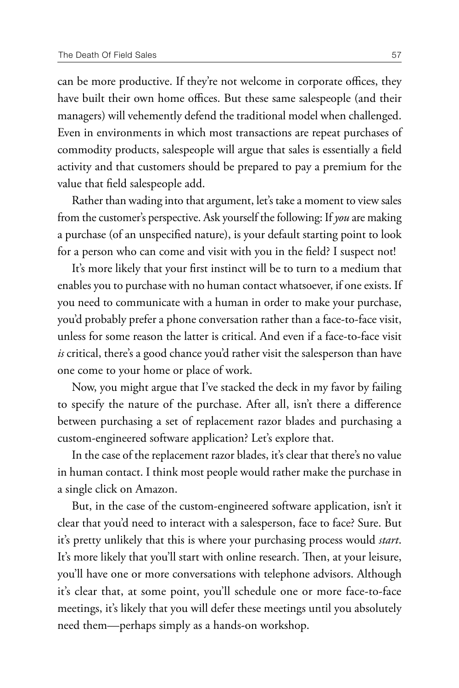can be more productive. If they're not welcome in corporate offices, they have built their own home offices. But these same salespeople (and their managers) will vehemently defend the traditional model when challenged. Even in environments in which most transactions are repeat purchases of commodity products, salespeople will argue that sales is essentially a field activity and that customers should be prepared to pay a premium for the value that field salespeople add.

Rather than wading into that argument, let's take a moment to view sales from the customer's perspective. Ask yourself the following: If *you* are making a purchase (of an unspecified nature), is your default starting point to look for a person who can come and visit with you in the field? I suspect not!

It's more likely that your first instinct will be to turn to a medium that enables you to purchase with no human contact whatsoever, if one exists. If you need to communicate with a human in order to make your purchase, you'd probably prefer a phone conversation rather than a face-to-face visit, unless for some reason the latter is critical. And even if a face-to-face visit *is* critical, there's a good chance you'd rather visit the salesperson than have one come to your home or place of work.

Now, you might argue that I've stacked the deck in my favor by failing to specify the nature of the purchase. After all, isn't there a difference between purchasing a set of replacement razor blades and purchasing a custom-engineered software application? Let's explore that.

In the case of the replacement razor blades, it's clear that there's no value in human contact. I think most people would rather make the purchase in a single click on Amazon.

But, in the case of the custom-engineered software application, isn't it clear that you'd need to interact with a salesperson, face to face? Sure. But it's pretty unlikely that this is where your purchasing process would *start*. It's more likely that you'll start with online research. Then, at your leisure, you'll have one or more conversations with telephone advisors. Although it's clear that, at some point, you'll schedule one or more face-to-face meetings, it's likely that you will defer these meetings until you absolutely need them—perhaps simply as a hands-on workshop.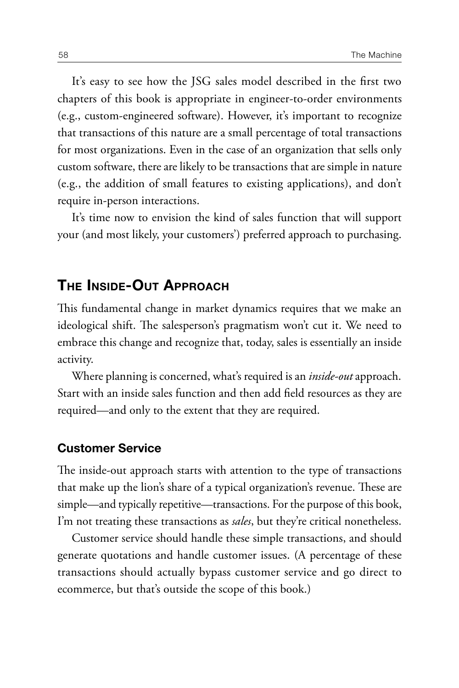It's easy to see how the JSG sales model described in the first two chapters of this book is appropriate in engineer-to-order environments (e.g., custom-engineered software). However, it's important to recognize that transactions of this nature are a small percentage of total transactions for most organizations. Even in the case of an organization that sells only custom software, there are likely to be transactions that are simple in nature (e.g., the addition of small features to existing applications), and don't require in-person interactions.

It's time now to envision the kind of sales function that will support your (and most likely, your customers') preferred approach to purchasing.

## The Inside-Out Approach

This fundamental change in market dynamics requires that we make an ideological shift. The salesperson's pragmatism won't cut it. We need to embrace this change and recognize that, today, sales is essentially an inside activity.

Where planning is concerned, what's required is an *inside-out* approach. Start with an inside sales function and then add field resources as they are required—and only to the extent that they are required.

#### Customer Service

The inside-out approach starts with attention to the type of transactions that make up the lion's share of a typical organization's revenue. These are simple—and typically repetitive—transactions. For the purpose of this book, I'm not treating these transactions as *sales*, but they're critical nonetheless.

Customer service should handle these simple transactions, and should generate quotations and handle customer issues. (A percentage of these transactions should actually bypass customer service and go direct to ecommerce, but that's outside the scope of this book.)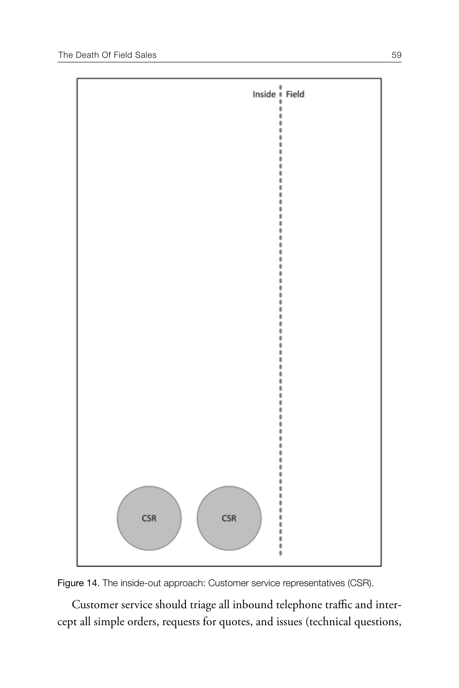



Customer service should triage all inbound telephone traffic and intercept all simple orders, requests for quotes, and issues (technical questions,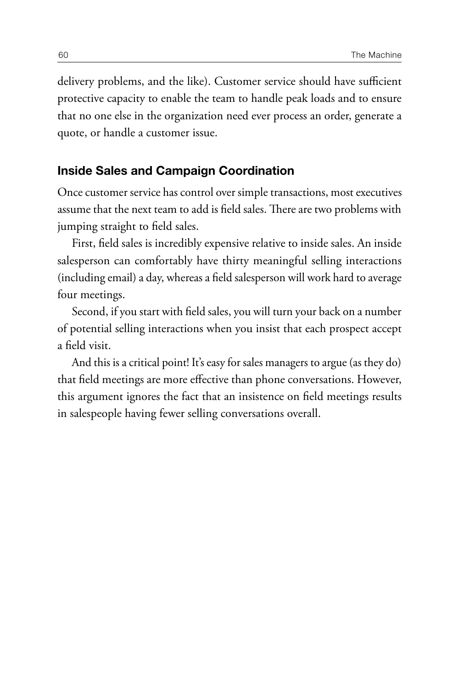delivery problems, and the like). Customer service should have sufficient protective capacity to enable the team to handle peak loads and to ensure that no one else in the organization need ever process an order, generate a quote, or handle a customer issue.

### Inside Sales and Campaign Coordination

Once customer service has control over simple transactions, most executives assume that the next team to add is field sales. There are two problems with jumping straight to field sales.

First, field sales is incredibly expensive relative to inside sales. An inside salesperson can comfortably have thirty meaningful selling interactions (including email) a day, whereas a field salesperson will work hard to average four meetings.

Second, if you start with field sales, you will turn your back on a number of potential selling interactions when you insist that each prospect accept a field visit.

And this is a critical point! It's easy for sales managers to argue (as they do) that field meetings are more effective than phone conversations. However, this argument ignores the fact that an insistence on field meetings results in salespeople having fewer selling conversations overall.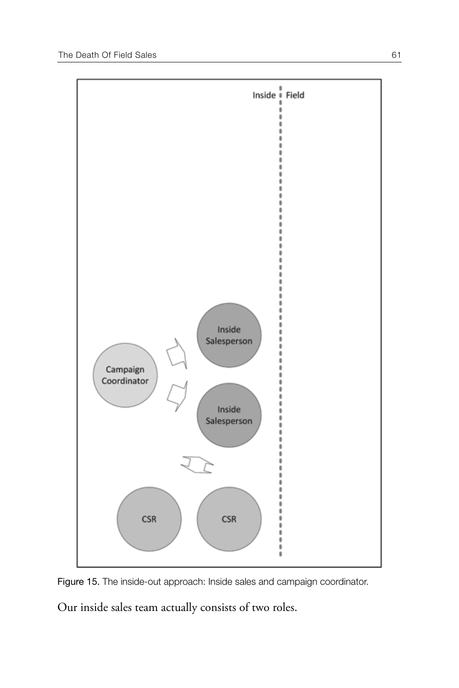

Figure 15. The inside-out approach: Inside sales and campaign coordinator.

Our inside sales team actually consists of two roles.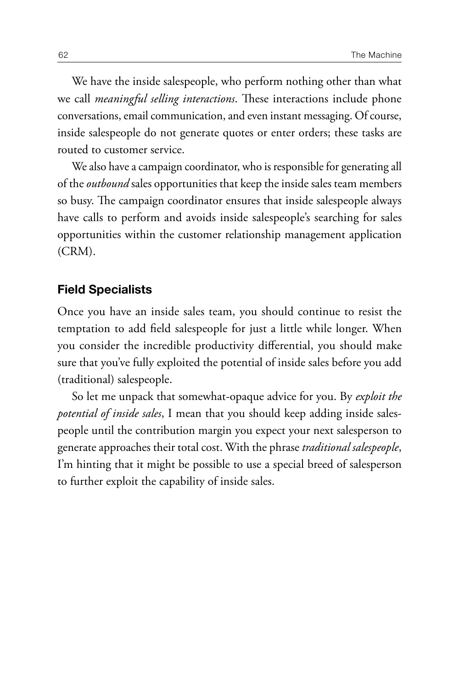We have the inside salespeople, who perform nothing other than what we call *meaningful selling interactions*. These interactions include phone conversations, email communication, and even instant messaging. Of course, inside salespeople do not generate quotes or enter orders; these tasks are routed to customer service.

We also have a campaign coordinator, who is responsible for generating all of the *outbound* sales opportunities that keep the inside sales team members so busy. The campaign coordinator ensures that inside salespeople always have calls to perform and avoids inside salespeople's searching for sales opportunities within the customer relationship management application (CRM).

#### Field Specialists

Once you have an inside sales team, you should continue to resist the temptation to add field salespeople for just a little while longer. When you consider the incredible productivity differential, you should make sure that you've fully exploited the potential of inside sales before you add (traditional) salespeople.

So let me unpack that somewhat-opaque advice for you. By *exploit the potential of inside sales*, I mean that you should keep adding inside salespeople until the contribution margin you expect your next salesperson to generate approaches their total cost. With the phrase *traditional salespeople*, I'm hinting that it might be possible to use a special breed of salesperson to further exploit the capability of inside sales.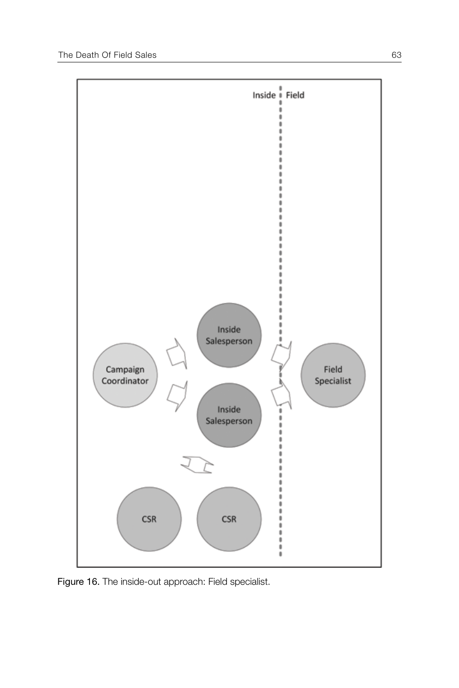

Figure 16. The inside-out approach: Field specialist.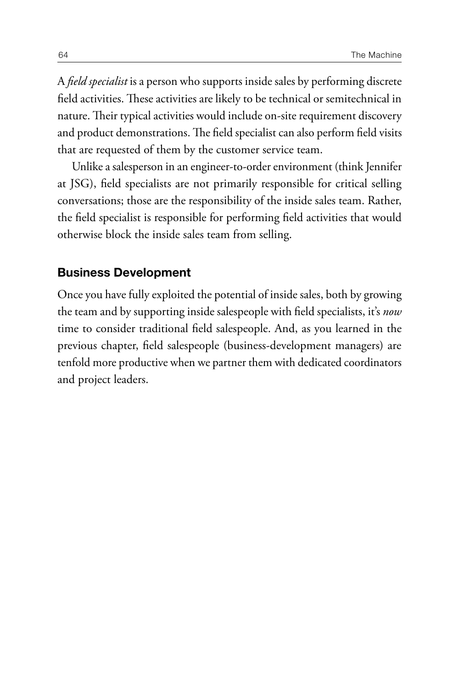A *field specialist* is a person who supports inside sales by performing discrete field activities. These activities are likely to be technical or semitechnical in nature. Their typical activities would include on-site requirement discovery and product demonstrations. The field specialist can also perform field visits that are requested of them by the customer service team.

Unlike a salesperson in an engineer-to-order environment (think Jennifer at JSG), field specialists are not primarily responsible for critical selling conversations; those are the responsibility of the inside sales team. Rather, the field specialist is responsible for performing field activities that would otherwise block the inside sales team from selling.

#### Business Development

Once you have fully exploited the potential of inside sales, both by growing the team and by supporting inside salespeople with field specialists, it's *now* time to consider traditional field salespeople. And, as you learned in the previous chapter, field salespeople (business-development managers) are tenfold more productive when we partner them with dedicated coordinators and project leaders.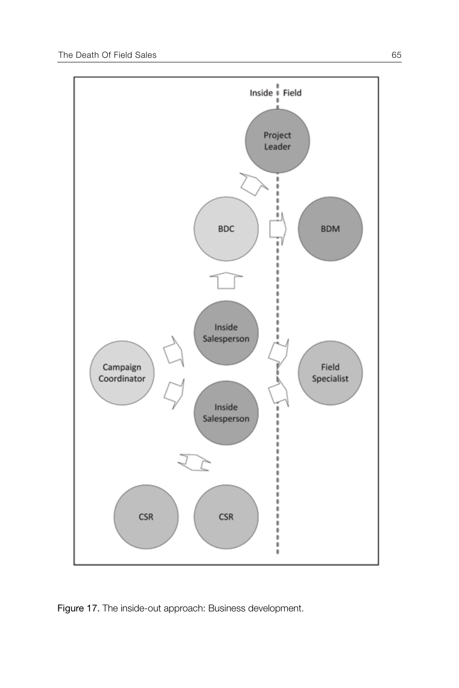

Figure 17. The inside-out approach: Business development.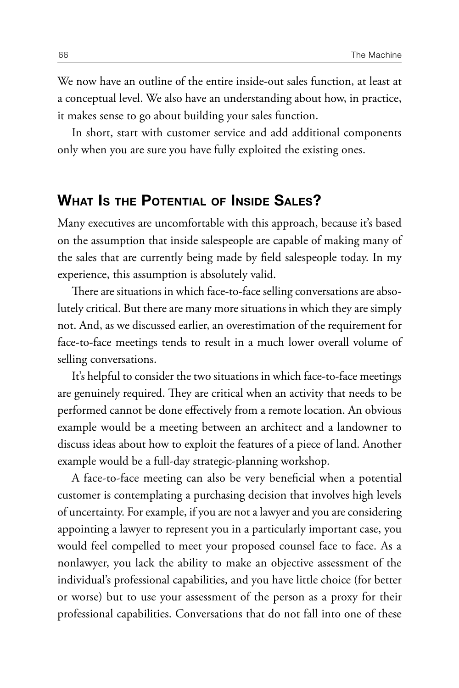We now have an outline of the entire inside-out sales function, at least at a conceptual level. We also have an understanding about how, in practice, it makes sense to go about building your sales function.

In short, start with customer service and add additional components only when you are sure you have fully exploited the existing ones.

## WHAT IS THE POTENTIAL OF INSIDE SAI FS?

Many executives are uncomfortable with this approach, because it's based on the assumption that inside salespeople are capable of making many of the sales that are currently being made by field salespeople today. In my experience, this assumption is absolutely valid.

There are situations in which face-to-face selling conversations are absolutely critical. But there are many more situations in which they are simply not. And, as we discussed earlier, an overestimation of the requirement for face-to-face meetings tends to result in a much lower overall volume of selling conversations.

It's helpful to consider the two situations in which face-to-face meetings are genuinely required. They are critical when an activity that needs to be performed cannot be done effectively from a remote location. An obvious example would be a meeting between an architect and a landowner to discuss ideas about how to exploit the features of a piece of land. Another example would be a full-day strategic-planning workshop.

A face-to-face meeting can also be very beneficial when a potential customer is contemplating a purchasing decision that involves high levels of uncertainty. For example, if you are not a lawyer and you are considering appointing a lawyer to represent you in a particularly important case, you would feel compelled to meet your proposed counsel face to face. As a nonlawyer, you lack the ability to make an objective assessment of the individual's professional capabilities, and you have little choice (for better or worse) but to use your assessment of the person as a proxy for their professional capabilities. Conversations that do not fall into one of these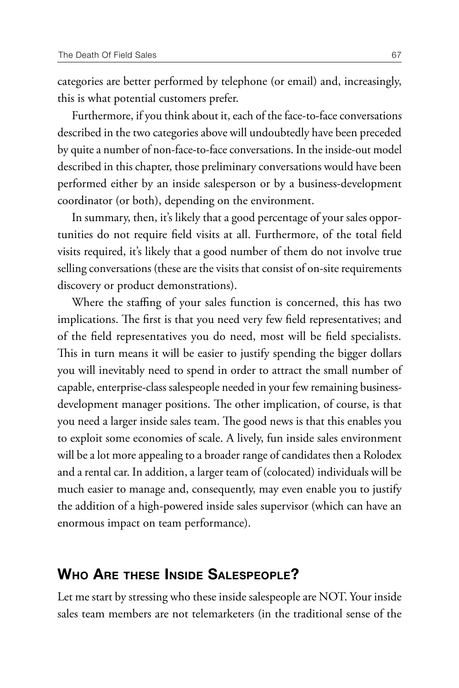categories are better performed by telephone (or email) and, increasingly, this is what potential customers prefer.

Furthermore, if you think about it, each of the face-to-face conversations described in the two categories above will undoubtedly have been preceded by quite a number of non-face-to-face conversations. In the inside-out model described in this chapter, those preliminary conversations would have been performed either by an inside salesperson or by a business-development coordinator (or both), depending on the environment.

In summary, then, it's likely that a good percentage of your sales opportunities do not require field visits at all. Furthermore, of the total field visits required, it's likely that a good number of them do not involve true selling conversations (these are the visits that consist of on-site requirements discovery or product demonstrations).

Where the staffing of your sales function is concerned, this has two implications. The first is that you need very few field representatives; and of the field representatives you do need, most will be field specialists. This in turn means it will be easier to justify spending the bigger dollars you will inevitably need to spend in order to attract the small number of capable, enterprise-class salespeople needed in your few remaining businessdevelopment manager positions. The other implication, of course, is that you need a larger inside sales team. The good news is that this enables you to exploit some economies of scale. A lively, fun inside sales environment will be a lot more appealing to a broader range of candidates then a Rolodex and a rental car. In addition, a larger team of (colocated) individuals will be much easier to manage and, consequently, may even enable you to justify the addition of a high-powered inside sales supervisor (which can have an enormous impact on team performance).

### Who Are these Inside Salespeople?

Let me start by stressing who these inside salespeople are NOT. Your inside sales team members are not telemarketers (in the traditional sense of the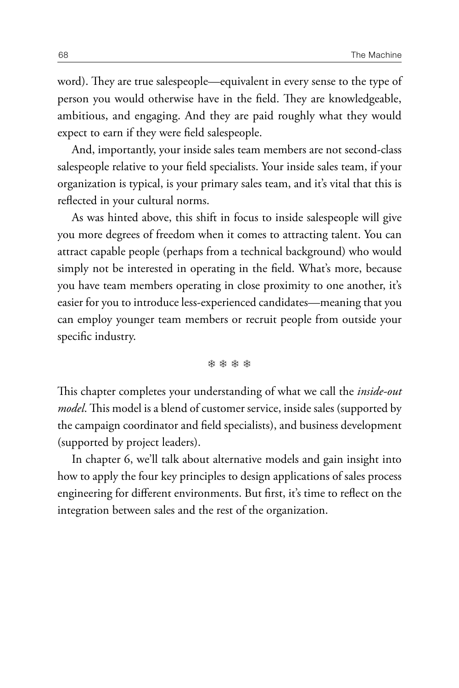word). They are true salespeople—equivalent in every sense to the type of person you would otherwise have in the field. They are knowledgeable, ambitious, and engaging. And they are paid roughly what they would expect to earn if they were field salespeople.

And, importantly, your inside sales team members are not second-class salespeople relative to your field specialists. Your inside sales team, if your organization is typical, is your primary sales team, and it's vital that this is reflected in your cultural norms.

As was hinted above, this shift in focus to inside salespeople will give you more degrees of freedom when it comes to attracting talent. You can attract capable people (perhaps from a technical background) who would simply not be interested in operating in the field. What's more, because you have team members operating in close proximity to one another, it's easier for you to introduce less-experienced candidates—meaning that you can employ younger team members or recruit people from outside your specific industry.

#### ❄ ❄ ❄ ❄

This chapter completes your understanding of what we call the *inside-out model*. This model is a blend of customer service, inside sales (supported by the campaign coordinator and field specialists), and business development (supported by project leaders).

In chapter 6, we'll talk about alternative models and gain insight into how to apply the four key principles to design applications of sales process engineering for different environments. But first, it's time to reflect on the integration between sales and the rest of the organization.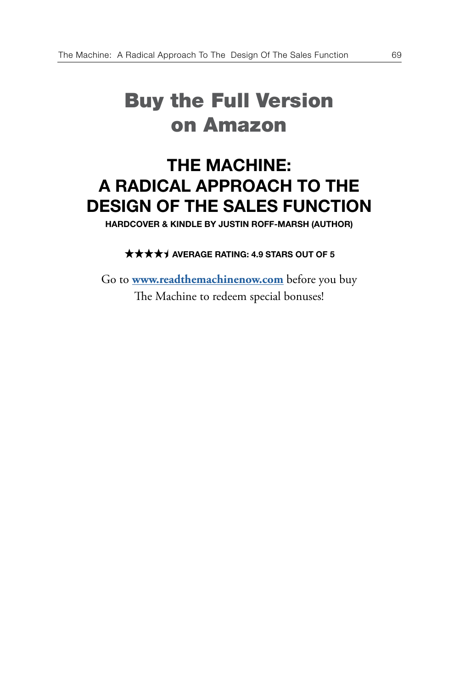# Buy the Full Version on Amazon

# THE MACHINE: A RADICAL APPROACH TO THE DESIGN OF THE SALES FUNCTION

HARDCOVER & KINDLE BY JUSTIN ROFF-MARSH (AUTHOR)

**★★★★**★ AVERAGE RATING: 4.9 STARS OUT OF 5

Go to **www.readthemachinenow.com** before you buy The Machine to redeem special bonuses!